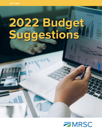# **2022 Budget Suggestions**

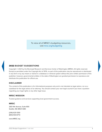To view all of MRSC's budgeting resources, visit [mrsc.org/budgeting](http://mrsc.org/Home/Explore-Topics/Finance/Budgets/Budgeting.aspx)

# 2022 **BUDGET SUGGESTIONS**

Copyright © 2021 by the Municipal Research and Services Center of Washington (MRSC). All rights reserved. Except as permitted under the Copyright Act of 1976, no part of this publication may be reproduced or distributed in any form or by any means or stored in a database or retrieval system without the prior written permission of the publisher; however, governmental entities in the state of Washington are granted permission to reproduce and distribute this publication for official use.

# **DISCLAIMER**

The content of this publication is for informational purposes only and is not intended as legal advice, nor as a substitute for the legal advice of an attorney. You should contact your own legal counsel if you have a question regarding your legal rights or any other legal issue.

### **MRSC MISSION**

Trusted guidance and services supporting local government success.

### **MRSC**

2601 4th Avenue, Suite 800 Seattle, WA 98121-1280

(206) 625-1300 (800) 933-6772

www.MRSC.org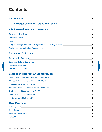# **Contents**

| <b>Introduction</b>                                                                                                                                                                                                                                   | 1                       |
|-------------------------------------------------------------------------------------------------------------------------------------------------------------------------------------------------------------------------------------------------------|-------------------------|
| 2022 Budget Calendar - Cities and Towns                                                                                                                                                                                                               | $\overline{\mathbf{2}}$ |
| 2022 Budget Calendar - Counties                                                                                                                                                                                                                       | 3                       |
| <b>Budget Hearings</b><br><u> 1980 - Johann Stein, marwolaethau a bhann an t-Amhair an t-Amhair an t-Amhair an t-Amhair an t-Amhair an t-A</u>                                                                                                        | 4                       |
| Cities and Towns <b>Committee Committee Committee Committee Committee Committee Committee Committee Committee Committee</b>                                                                                                                           | 4                       |
| <b>Counties</b><br><u> 1980 - Johann Stein, marwolaethau a bhann an t-Amhair ann an t-Amhair an t-Amhair an t-Amhair an t-Amhair an</u>                                                                                                               | 5                       |
| Budget Hearings for Biennial Budget Mid-Biennium Adjustments National Communisty Communisty Communisty Communi                                                                                                                                        | 6                       |
| <b>Public Hearings for Budget Amendments</b><br>the control of the control of the control of the control of the control of                                                                                                                            | 6                       |
| <b>Population Estimates</b><br><u> 1989 - Johann Barn, amerikansk politiker (d. 1989)</u>                                                                                                                                                             | 7                       |
| <b>Economic Factors</b><br>the control of the control of the control of the control of the control of the control of                                                                                                                                  | 9                       |
| State and National Economies <b>Community and Community and State and National Economies</b>                                                                                                                                                          | 9                       |
|                                                                                                                                                                                                                                                       | 9                       |
|                                                                                                                                                                                                                                                       | 10                      |
| <b>Legislation That May Affect Your Budget</b>                                                                                                                                                                                                        | 11                      |
| County Levy Certification Deadlines - SHB 1309<br><u> 1980 - Johann John Stein, mars an de Frankrik (f. 1980)</u>                                                                                                                                     | 11                      |
| Affordable Housing Acquisition - ESHB 1070 Canada Communication and Affordable Housing                                                                                                                                                                | 11                      |
| Fiscal Flexibility - E2SHB 1069 [100]                                                                                                                                                                                                                 | 11                      |
| Targeted Urban Area Tax Exemption - EHB 1386                                                                                                                                                                                                          | 12                      |
| Tax Increment Financing - ESHB 1189                                                                                                                                                                                                                   | 12                      |
| American Rescue Plan Act (ARPA) and the control of the control of the control of the control of the control of the control of the control of the control of the control of the control of the control of the control of the co                        | 12                      |
| No Statewide Initiatives in 2021                                                                                                                                                                                                                      | 12                      |
| <b>Core Revenues</b><br>the control of the control of the control of the control of the control of the control of the control of the control of the control of the control of the control of the control of the control of the control of the control | 13                      |
| <b>Property Taxes</b>                                                                                                                                                                                                                                 | 13                      |
| <b>Sales Taxes</b>                                                                                                                                                                                                                                    | 13                      |
| <b>B&amp;O and Utility Taxes</b>                                                                                                                                                                                                                      | 14                      |
| <b>Ballot Measure Planning</b>                                                                                                                                                                                                                        | 14                      |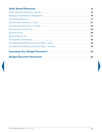| <b>State Shared Revenues</b>                                                                                        | 15 |
|---------------------------------------------------------------------------------------------------------------------|----|
| <b>Shared Revenue Distribution Calendar</b><br><u> 1980 - Jan Barat, martin amerikan ba</u>                         | 16 |
| <b>Population and Annexation Adjustments</b><br><u> 1980 - Andrea Andrew Communication (b. 1980)</u>                | 16 |
| City-County Assistance https://www.assistance.com/www.assistance.com/www.assistance.com/www.assistance.com/www      | 17 |
|                                                                                                                     | 21 |
| Criminal Justice Revenues - Counties                                                                                | 23 |
|                                                                                                                     | 24 |
| Liquor Revenues and the contract of the contract of the contract of the contract of the contract of the contract of | 25 |
| Marijuana Excise Tax Participate and Construction and Constant Article and Constant Article and Constant Article    | 27 |
|                                                                                                                     | 30 |
| Per Capita Shared Revenue Forecast Tables - Cities <b>Capital Access 2018</b>                                       | 32 |
| Per Capita Shared Revenue Forecast Tables - Counties                                                                | 33 |
| <b>Assessing Your Budget Document</b>                                                                               | 34 |
| <b>Budget Document Scorecard</b>                                                                                    | 35 |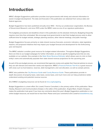# <span id="page-4-0"></span>**Introduction**

MRSC's *Budget Suggestions* publication provides local governments with timely and relevant information to assist in budget development. The data and forecasts in this publication are obtained from various state and federal agencies.

*Budget Suggestions* has been published annually since 1943 – first by our predecessor organization, the Bureau of Government Research, and since 1970 under the MRSC name as one of our signature publications.

The budgetary procedures and deadlines shown in this publication are the absolute minimums. Budgeting frequently requires more time than anticipated. We encourage local governments to start their budget process early to allow sufficient time for budget retreats, strategic planning sessions, other internal meetings, and public hearings.

*Budget Suggestions* focuses primarily on state shared revenue forecasts, economic indicators, state legislative impacts, and proposed initiatives that may impact your budget forecast and development for the forthcoming year and beyond.

The MRSC website is another great resource for budget-related information. Throughout *Budget Suggestions*, there are links to our budget webpages for further information, as well as specific budgeting tools that are only available on our website. One example is the [State Share Revenue Estimator](https://mrsc.org/Home/Explore-Topics/Finance/Budgets/State-Shared-Revenue-Estimator.aspx) which allows users to click on their entity's name and automatically populate their state shared revenue projections for the upcoming year.

As part of the pre-budget process, we recommend that agencies review and update their financial policies to ensure they are still relevant and meet their needs and objectives. MRSC's [Financial Policies Tool Kit](https://mrsc.org/Home/Explore-Topics/Finance/Finance-Policies/Financial-Budget-Policies.aspx) is a great resource with areas such as fund balance, reserves, debt management, and cost allocation, as well as sample policies.

MRSC also publishes the [City Revenue Guide](https://mrsc.org/getmedia/d3f7f211-fc63-4b7a-b362-cb17993d5fe5/Revenue-Guide-For-Washington-Cities-And-Towns.pdf.aspx?ext=.pdf) and [County Revenue Guide.](https://mrsc.org/getmedia/4865001b-1f63-410a-a5ed-8d1ad8d752f3/Revenue-Guide-For-Washington-Counties.pdf.aspx?ext=.pdf) These publications provide indepth discussions of property taxes, sales taxes, excise taxes, and much more and can help jurisdictions better understand existing and potential revenue sources.

All of MRSC's budgeting resources can be found at [mrsc.org/budgeting](https://mrsc.org/Home/Explore-Topics/Finance/Budgets/Budgeting.aspx).

*Budget Suggestions* is a team effort. Eric Lowell, Finance Consultant, is the primary author of this publication. Steve Hawley, Research and Communications Analyst, is the editor of the publication. Angela Mack, Graphic Designer, makes the publication look great. If you have any comments about this year's *Budget Suggestions* publication or our online budget resources, we would love to hear them. Please send your comments to Eric Lowell at [elowell@mrsc.org](mailto:elowell%40mrsc.org?subject=).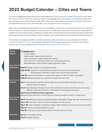# <span id="page-5-0"></span>**2022 Budget Calendar – Cities and Towns**

The annual budget preparation procedures and deadlines for cities are found in [chapter 35A.33 RCW](http://apps.leg.wa.gov/rcw/default.aspx?cite=35a.33) (code cities) and [chapter 35.33 RCW](http://apps.leg.wa.gov/rcw/default.aspx?cite=35.33) (all other cities and towns except Seattle) and outlined below. For cities that budget on a biennial basis, the current biennium is 2021-2022, which means they will be conducting the mid-biennium review and adjustment this year. (For more information, see our page on [Biennial Budgeting](https://mrsc.org/Home/Explore-Topics/Finance/Budgets/Biennial-Budgeting.aspx).)

Most of the pre-budget items listed below are recommendations only and are not required by statute. The rest of the items are based on statutory deadlines; cities and towns can take these steps earlier than listed or adopt different deadlines for some of these steps by ordinance or charter. We recommend that each city and town develop a timeline that best meets its needs, ensures compliance with the statutes, and provides sufficient time to prepare this vital financial plan.

For examples of budget preparation calendars adopted by cities and towns, see our webpage [2022 Budget](http://mrsc.org/Home/Explore-Topics/Finance/Budgets/Budget-Calendar-for-Cities-and-Towns.aspx)  [Calendar for Cities and Towns.](http://mrsc.org/Home/Explore-Topics/Finance/Budgets/Budget-Calendar-for-Cities-and-Towns.aspx) For a detailed explanation of the budget requirements, as well as some helpful practice tips, see our webpage [Budget Preparation Procedures for Cities and Towns.](http://mrsc.org/Home/Explore-Topics/Finance/Budgets/Budget-Procedures-and-Deadlines-for-Cities-and-Tow.aspx)

| March-<br><b>August</b> | <b>Pre-Budget Items</b><br>Council retreat.<br>Update and/or adopt financial policies.<br>Public hearings for capital facility plan updates.<br>Public forums or community outreach (ex: community priorities).<br>Mayor/Manager communicates budget objectives to staff.                                                                                                                                                                   |
|-------------------------|---------------------------------------------------------------------------------------------------------------------------------------------------------------------------------------------------------------------------------------------------------------------------------------------------------------------------------------------------------------------------------------------------------------------------------------------|
| <b>September</b>        | Sept 13 Budget request to all department heads.<br>Sept 13-26 Department heads prepare estimates of revenues and expenditures.<br>Clerk prepares estimates for debt service and all other estimates.<br>Sept 25 Implicit price deflator calculated (only applies to cities of 10,000+ population).<br>Sept 27 Budget estimates from department heads filed with clerk.                                                                      |
| <b>October</b>          | <b>Oct 1</b> Clerk provides estimates filed by department heads to Mayor/Manager showing<br>complete financial program.<br>Oct 4 Mayor/Manager provides Council with estimates of revenues from all sources including<br>estimates prepared by clerk for consideration of setting property tax levy.<br>Mid-October to Mid-November (suggested)<br>Required public hearing on revenue sources including possible increases in property tax. |
| <b>November</b>         | Nov 2 Mayor/Manager prepares preliminary budget and budget message. Files with clerk and council.<br>Nov 1-18 Publication notice of preliminary budget and final hearing.<br>Nov 1-25 Public hearing(s) on preliminary budget. Public hearing on revenue sources for levy setting.<br>Nov 20 Copies of budget available to public<br>Nov 30 Property tax levies set by ordinance and filed with the County.                                 |
| <b>December</b>         | Dec 6 Final budget hearing.<br>Dec 31 Budget adoption.                                                                                                                                                                                                                                                                                                                                                                                      |

 $\blacktriangleleft$  Last Page Viewed  $\blacktriangleright$   $\equiv$  Table of Contents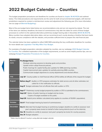# <span id="page-6-0"></span>**2022 Budget Calendar – Counties**

The budget preparation procedures and deadlines for counties are found in [chapter 36.40 RCW](https://apps.leg.wa.gov/rcw/default.aspx?cite=36.40) and outlined below. The initial procedures and requirements are the same for both annual and biennial budgets, with biennial jurisdictions required to conduct a mid-biennium review and adjustment the following year. (For more information, see our page on [Biennial Budgeting](https://mrsc.org/Home/Explore-Topics/Finance/Budgets/Biennial-Budgeting.aspx).)

Most of the pre-budget items listed below are recommendations only and are not required by statute. The rest of the items are statutory deadlines; the board of commissioners may alter the dates for some of these budget processes to conform to the optional alternative preliminary budget hearing date in December [\(RCW 36.40.071\)](http://apps.leg.wa.gov/rcw/default.aspx?cite=36.40.071). Many counties have adopted alternative dates, and we recommend each county develop a timeline that best meets its needs, ensures compliance with the statutes, and provides sufficient time to prepare this vital financial plan.

The calendar below has been updated to reflect SHB 1309 extending the levy certification deadlines for counties; for more details see [Legislation That May Affect Your Budget](#page-14-0).

For examples of budget preparation calendars adopted by counties, see our webpage [2022 Budget Calendar](https://mrsc.org/Home/Explore-Topics/Finance/Budgets/Budget-Calendar-for-Counties.aspx)  [for Counties.](https://mrsc.org/Home/Explore-Topics/Finance/Budgets/Budget-Calendar-for-Counties.aspx) For a detailed explanation of the budget requirements, as well as some helpful practice tips, see our webpage [Budget Preparation Procedures for Counties](https://mrsc.org/Home/Explore-Topics/Finance/Budgets/Budget-Preparation-Procedures-for-Counties.aspx).

| March-<br>June   | <b>Pre-Budget Items</b><br>Strategic planning sessions to develop goals and priorities.<br>Update and/or adopt financial policies.<br>Public hearings for capital facility plan updates for GMA planning counties.<br>Capital improvement plan updates for partially planning GMA counties.<br>Communicate budget objectives to county departments and elected offices. |  |  |  |
|------------------|-------------------------------------------------------------------------------------------------------------------------------------------------------------------------------------------------------------------------------------------------------------------------------------------------------------------------------------------------------------------------|--|--|--|
| July             | July 12 <sup>*</sup> County auditor or chief financial officer (CFO) notifies all officials of the request for budget.                                                                                                                                                                                                                                                  |  |  |  |
| <b>August</b>    | Before Aug 9 <sup>*</sup> Auditor or CFO prepares estimates for debt service and all other estimates not<br>called for in the notification to officials.<br>Aug 9* Budget estimates from all officials filed with auditor or CFO.                                                                                                                                       |  |  |  |
| <b>September</b> | Sept 7* Preliminary county budget prepared by auditor or CFO is submitted to the commissioners.<br>Sept 20 <sup>*</sup> Notice of public hearing on budget and tax levies.<br>Copies of budget available to the public.<br><b>Sept 25</b> Implicit price deflator calculated (only applies to counties of 10,000+ population).                                          |  |  |  |
| <b>October</b>   | Oct 4* Final budget hearing by board of commissioners.                                                                                                                                                                                                                                                                                                                  |  |  |  |
| <b>December</b>  | <b>Dec 6</b> Alternate final budget hearing on preliminary budget; deadline to certify to assessor next<br>year's property taxes levied on behalf of other taxing districts (such as fire districts).<br><b>Dec 15</b> Deadline to certify to assessor next year's property tax levies for county purposes.<br><b>Dec 31</b> Budget adoption.                           |  |  |  |

\* Dates may be altered if county is using alternate budget calendar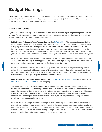# <span id="page-7-0"></span>**Budget Hearings**

"How many public hearings are required for the budget process?" is one of those frequently asked questions at budget time. The following guidance reflects the minimum requirements; jurisdictions should also make sure to follow the state's current COVID-19 guidance for public meetings.

# <span id="page-7-1"></span>**CITIES AND TOWNS**

**By MRSC's analysis, each city or town must hold at least three public hearings during the budget preparation process.** The minimum statutory requirements are addressed below, but please note that some cities may have adopted additional public hearing requirements by policy.

Public Hearing #1: Property Taxes/Revenue Sources. See [RCW 84.55.120](http://app.leg.wa.gov/rcw/default.aspx?cite=84.55.120). The legislative body must hold a public hearing on revenue sources for the coming year's budget, including consideration of possible increases in property tax revenues, prior to the property tax certification deadline, which is November 30. After the hearing, a city/town may choose to pass an ordinance at the same meeting establishing the property tax levy in terms of total dollars and percent increase from the previous year. This ordinance may cover a period up to two years, but in practice most jurisdictions – even biennial budget jurisdictions – hold a revenue hearing every year.

Because of the importance of revenue forecasting as a precursor to presenting a structurally balanced budget, we suggest that the property tax hearing precede the preliminary budget hearing (see below). This would place the property tax hearing sometime between mid-October and mid-November.

Official notices must be placed in the official newspaper of the city/town prior to the public hearing. While the statute does not specifically address the length of time prior to the hearing that notice must be given, it is our recommendation that notice be provided no later than one week prior to the public hearing to ensure that the statutory intent and underlying purpose of notice is reasonably fulfilled.

**Public Hearing #2: Preliminary Budget Hearing.** See [RCW 35.33.057/](http://app.leg.wa.gov/rcw/default.aspx?cite=35.33.057)[RCW 35A.33.055](http://app.leg.wa.gov/rcw/default.aspx?cite=35a.33.055) (annual budgets) and [RCW 35.34.090](http://app.leg.wa.gov/RCW/default.aspx?cite=35.34.090)[/RCW 35A.34.090](http://app.leg.wa.gov/RCW/default.aspx?cite=35A.34.090) (biennial budgets).

The legislative body, or a committee thereof, must schedule preliminary "hearings on the budget or parts thereof" *prior* to the final budget hearing, which must be on or before the first Monday in December, and may require the presence of department heads to give information regarding estimates and programs. Public notice is required, but beyond the requirement to publish in the official newspaper of the city/town there are no additional publication requirements stated in statute. However, as with the property tax hearing, we recommend a minimum of one week's publication notice.

Since the statutory language references "hearings" as plural, it has long been MRSC's opinion that more than one preliminary budget hearing is required. However, since the statute also states that the hearings may be "on the budget or parts thereof," we also conclude that cities and towns may count the property tax/revenue hearing outlined above as one of the required preliminary hearings. This means cities and towns must hold at least one preliminary budget hearing in addition to the property tax/revenue hearing.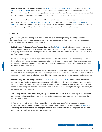**Public Hearing #3: Final Budget Hearing.** See [RCW 35.33.071](http://app.leg.wa.gov/RCW/default.aspx?cite=35.33.071)/[RCW 35A.33.070](http://app.leg.wa.gov/RCW/default.aspx?cite=35A.33.070) (annual budgets) and [RCW](http://app.leg.wa.gov/RCW/default.aspx?cite=35.34.110)  [35.34.110/](http://app.leg.wa.gov/RCW/default.aspx?cite=35.34.110)[RCW 35A.34.110](http://app.leg.wa.gov/RCW/default.aspx?cite=35A.34.110) (biennial budgets). The final budget hearing must begin on or before the first Monday in December (December 6 this year) and may continue from day-to-day beyond the first Monday but it must conclude no later than December 7 (the 25th day prior to the next fiscal year).

Official notice of the final budget hearing must be published once a week for two consecutive weeks in the official newspaper. See [RCW 35.33.061/](http://app.leg.wa.gov/rcw/default.aspx?cite=35.33.061)[RCW 35A.33.060](http://app.leg.wa.gov/rcw/default.aspx?cite=35A.33.060) (annual budgets) and [RCW 35.34.100/](http://app.leg.wa.gov/RCW/default.aspx?cite=35.34.100)[RCW](http://app.leg.wa.gov/RCW/default.aspx?cite=35A.34.100)  [35A.34.100](http://app.leg.wa.gov/RCW/default.aspx?cite=35A.34.100) (biennial budgets). The timing of this notice can be challenging for those cities and towns that have an official newspaper with less than a daily release schedule, so careful planning is required.

# <span id="page-8-0"></span>**COUNTIES**

**By MRSC's analysis, each county must hold at least two public hearings during the budget process.** The minimum statutory requirements are addressed below, but please note that some counties may have adopted additional public hearing requirements by policy.

**Public Hearing #1: Property Taxes/Revenue Sources.** See [RCW 84.55.120.](https://app.leg.wa.gov/RCW/default.aspx?cite=84.55.120) The legislative body must hold a public hearing on revenue sources for the coming year's budget, including consideration of possible increases in property tax revenues, prior to the property tax certification deadline, which is now December 15, and prior to the final budget hearing.

Official notice is required in the county's official newspaper. While the statute does not specifically address the length of time prior to the hearing that notice must be given, it is our recommendation that notice be provided no later than one week prior to the public hearing to ensure that the statutory intent and underlying purpose of the notice is reasonably fulfilled.

After the hearing, a county may choose to pass an ordinance at the same meeting establishing the property tax levy in terms of total dollars and percent increase from the previous year. This ordinance may cover a period up to two years, but in practice most jurisdictions – even biennial budget jurisdictions – hold a revenue hearing every year.

Public Hearing #2: Final Budget Hearing. See [RCW 36.40.070/](http://app.leg.wa.gov/rcw/default.aspx?cite=36.40.070)[RCW 36.40.071](http://app.leg.wa.gov/rcw/default.aspx?cite=36.40.071). The legislative body must meet on the first Monday in October, or alternatively the first Monday in December if using the alternate budget dates, for the budget hearing. Officials in charge of county offices, departments, services, and institutions must appear at the hearing and may, at the appropriate time, be questioned concerning their budget estimates by the commissioners or any taxpayer.

The hearing may be continued from day-to-day but may not exceed a total of five days. Upon conclusion of the hearing, the legislative body must fix and determine each budget item separately and must adopt the budget by resolution.

Official notice of the final budget hearing must be published once a week for two consecutive weeks, immediately following adoption of the preliminary budget, in the county's official newspaper ([RCW 36.40.060](http://app.leg.wa.gov/rcw/default.aspx?cite=36.40.060)). The timing of this notice can be challenging for those counties that have an official newspaper with less than a daily release schedule, so careful planning is required.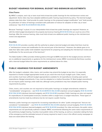## <span id="page-9-0"></span>**BUDGET HEARINGS FOR BIENNIAL BUDGET MID-BIENNIUM ADJUSTMENTS**

#### **Cites/Towns**

By MRSC's analysis, each city or town must hold at least two public hearings for the mid-biennium review and adjustment. Some cities may have adopted additional public hearing requirements by policy. The biennial budget statutes state that cities "shall provide for public hearings on the proposed budget modification" and "shall provide for publication of notice of hearings consistent with publication of notices for adoption of other city or town ordinances." See [RCW 35.34.130](http://app.leg.wa.gov/RCW/default.aspx?cite=35.34.130)[/RCW 35A.34.130](http://app.leg.wa.gov/RCW/default.aspx?cite=35A.34.130).

Because "hearings" is plural, it is our interpretation that at least two public hearings are required. However, as with the initial budget development, the property tax/revenue hearing ([RCW 84.55.120](http://app.leg.wa.gov/rcw/default.aspx?cite=84.55.120)) can count as one of the hearings. After the revenue hearing, cities must hold at least one additional public hearing on the mid-biennium review and adjustment.

#### **Counties**

[RCW 36.40.250](http://app.leg.wa.gov/rcw/default.aspx?cite=36.40.250) provides counties with the authority to adopt a biennial budget and states that there must be a "mid-biennium review and modification for the second year of the biennium." However, the statute goes on to state that "[t]he state auditor shall establish requirements for preparing and adopting the mid-biennium review and modification for the second year of the biennium."

The State Auditor's Office provides limited guidance through its BARS manuals for the budget process and there are no additional requirements or guidance for the mid-biennium review. MRSC recommends that those counties with a biennial budget follow the same requirements as outlined above for cities.

# <span id="page-9-1"></span>**PUBLIC HEARINGS FOR BUDGET AMENDMENTS**

After the budget is adopted, cities, towns, and counties may amend the budget at any time. It is especially important to monitor budget appropriation levels as you reach the end of your budget cycle. Cities, towns, and counties must have sufficient budget appropriations available for all expenditures including open period expenditures. Budget amendments, if any, must be adopted on or before December 31. Most budget amendments do not require public hearings under state law, although some jurisdictions may have adopted public hearing requirements by policy.

Cities, towns, and counties are not required to hold public hearings on budget amendments related to "nondebatable" emergencies – see [RCW 35.33.081/](http://app.leg.wa.gov/RCW/default.aspx?cite=35.33.081)[RCW 35A.33.080](http://app.leg.wa.gov/RCW/default.aspx?cite=35A.33.080) (city/town annual budgets), [RCW 35.34.140/](http://apps.leg.wa.gov/rcw/default.aspx?cite=35.34.140) [RCW 35A.34.140](http://apps.leg.wa.gov/rcw/default.aspx?cite=35A.34.140) (city/town biennial budgets), and [RCW 36.40.180](http://app.leg.wa.gov/RCW/default.aspx?cite=36.40.180) (counties). Public hearings are also not required for expenditures of unanticipated revenues, transfers within a single fund, or budget reductions. These types of amendments must be made by ordinance but do not require a public hearing.

However, public hearings are required for increasing expenditures for other "public emergencies" that are not considered "nondebatable" – see [RCW 35.33.091](http://app.leg.wa.gov/RCW/default.aspx?cite=35.33.091)[/RCW 35A.33.090](http://app.leg.wa.gov/RCW/default.aspx?cite=35A.33.090) (city/town annual budgets), [RCW 35.34.150](http://apps.leg.wa.gov/rcw/default.aspx?cite=35.34.150)/ [RCW 35A.34.150](http://apps.leg.wa.gov/rcw/default.aspx?cite=35A.34.150) (city/town biennial budgets), and [RCW 36.40.140](http://app.leg.wa.gov/RCW/default.aspx?cite=36.40.140) (counties). For cities and towns, the public notice requirements are not specifically outlined in statute. MRSC recommends following the same notice requirements of the preliminary budget hearing. Counties must publish notice of the hearing, as well as a resolution stating the facts of the emergency and the estimated amount of money required to meet it, once in the official county newspaper at least one week before the hearing.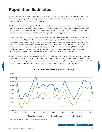# <span id="page-10-0"></span>**Population Estimates**

Population estimates are of particular importance to cities and counties, as they not only indicate whether the population is growing and how quickly, but they also form the basis for the distribution of many state shared revenues (see *[State Shared Revenues](#page-18-0)* chapter).

The Office of Financial Management (OFM) is responsible for determining populations of all cities, towns, and counties every year as of April 1. Those estimates are certified to the secretary of state on or before July 1 and distributed to the state agencies responsible for making allocations or payments to local governments. The updated distribution rates then take effect on January 1 of the following year.

According to OFM's [April 1, 2021 population estimates](https://ofm.wa.gov/washington-data-research/population-demographics/population-estimates/april-1-official-population-estimates), the state's total population now exceeds 7.76 million, an increase of just over 110,000 (1.4%) since last year. OFM originally estimated a smaller population increase of over 61,000 people (0.8%), which is reflected in the chart below. However, the initial 2020 U.S. Census data released earlier this year showed a higher statewide population than OFM's estimate, so OFM adjusted its population estimate upward by roughly 49,000 people, bringing the total increase to just over 110,000. Because the U.S. Census has only released state totals and has not yet released city and county details, OFM proportionately distributed the adjustment to each jurisdiction based on the OFM 2020 population estimates.

The COVID-19 pandemic significantly affected the 2021 population estimates, with OFM showing an increase in deaths, decrease in births, and a dramatic drop in migration and the population living in group quarters. A number of college towns actually saw population decreases in the past year, although OFM expects some of these changes to be temporary and for population numbers to rebound once the pandemic's impacts subside.



# **Components of State Population Change**

*Credit: Washington State Office of Financial Management*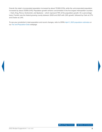Overall, the state's incorporated population increased by about 73,500 (1.5%), while the unincorporated population increased by about 37,000 (1.4%). Population growth remains concentrated in the five largest metropolitan counties – Clark, King, Pierce, Snohomish, and Spokane – which represent 70% of the population growth. On a percentage basis, Franklin was the fastest growing county between 2020 and 2021 with 2.8% growth, followed by Clark at 2.7% and Chelan at 2.4%.

To see your jurisdiction's total population and recent changes, refer to OFM's [April 1, 2021 population estimates](https://ofm.wa.gov/washington-data-research/population-demographics/population-estimates/april-1-official-population-estimates) or our [Tax and Population Data](https://mrsc.org/Home/Explore-Topics/Finance/Economic-and-Population-Data/Population-Property-and-Sales-Tax-Archive.aspx) webpage.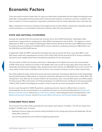# <span id="page-12-0"></span>**Economic Factors**

There are several economic factors that, for many, are instinctively incorporated into the budget forecasting process, especially if using judgmental forecasting and/or historical trend analyses. In particular, economic conditions may have an impact on revenue projections, especially in jurisdictions that are heavily dependent upon retail sales tax.

Major components of economic modeling in the budget process include inflation, employment, population growth, and the prevalence or concentration of particular industries within the local jurisdiction.

# <span id="page-12-1"></span>**STATE AND NATIONAL ECONOMIES**

Last year, the outlook of the US economy was uncertain due to the COVID-19 pandemic. Washington State experienced a steep decline in employment in April 2020. Unemployment rose to 16.3% – the highest on record dating back to 1976. In June 2020, the Washington State Economic Revenue Forecast Council (ERFC) had revised its previous forecast of General Fund-State (GF-S) revenue collections, predicting a decrease of \$8.9 billion over the 2019-2021 and 2021-2023 biennia.

In September 2020, the ERFC reduced the forecasted decrease by almost half. Now a year later, ERFC's June 2021 report noted that unemployment shrunk to 5.4% in April 2021 and the forecast for GF-S revenue collections returned to levels slightly *above* those forecasted pre-pandemic for the same period.

The first quarter of 2021 saw housing construction in Washington hit its highest level since the second quarter of 1978. Home prices continue to increase in the Seattle metro area as well as many other parts of the state and nationwide. According to the Kiplinger Letter, existing homes which sold for over \$500,000 rose to 27% up from 17% a year earlier. Factors which contribute to this trend are a low inventory of homes as well as lower interest rates.

One of the hardest hit sectors of the US economy was travel and tourism. According to data found on the Transportation Security Administration (TSA) website, air travel has rebounded, although not to the levels seen in 2019. While TSA checkpoints in June 2021 saw an increase of 297% over the previous June, it was still 26% below June 2019 numbers. The King County Office of Economic and Financial Analysis in its 2021 Economic and Revenue Forecast presented in March 2021, predicts that lodging tax receipts in King County will not reach pre-pandemic levels until 2023.

As we've seen through the COVID-19 pandemic, predicting economic impacts is difficult when an event is unprecedented. As was recommended in our publication last year, we recommend following the [Economic and](https://erfc.wa.gov/)  [Revenue Forecast Council,](https://erfc.wa.gov/) federal [Bureau of Economic Analysis,](https://www.bea.gov/) state Employment Security Department's [Labor](https://esd.wa.gov/labormarketinfo)  [Market and Economic Analysis,](https://esd.wa.gov/labormarketinfo) and the [King County Office of Economic and Financial Analysis](https://kingcounty.gov/independent/forecasting.aspx) for updates.

# <span id="page-12-2"></span>**CONSUMER PRICE INDEX**

The Consumer Price Index (CPI) is generally the most widely used measure of inflation. The CPI can impact local budgets in multiple ways, including:

- Statewide minimum wage and overtime salary thresholds for the coming year (announced September 30 and taking effect January 1);
- Cost-of-living adjustments and collective bargaining agreements;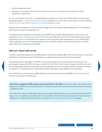- Pension adjustments; and
- Automatic increases for certain fees or revenue sources such as multi-year levy lid lifts or, for some jurisdictions, impact fees.

For more information on the CPI – including differences between the CPI-U and CPI-W indexes and the various geographic regions – see our [Consumer Price Index](https://mrsc.org/Home/Explore-Topics/Finance/Economic-and-Population-Data/Consumer-Price-Index.aspx) webpage. For current data, see the Bureau of Labor Statistics [Consumer Price Index Pacific Cities and U.S. City Average Data Tables](https://www.bls.gov/regions/west/data/cpi_tables.pdf).

We will release information on the new minimum wage rates and overtime salary thresholds in our e-newsletters after they are released on September 30.

The state Economic and Revenue Forecast Council (ERFC) also includes CPI projections for future years in its quarterly [Economic and Revenue Forecast Publications](https://erfc.wa.gov/publications/quarterly-updates) (see Table A4.1). However, this information only includes projections for the U.S. and Seattle CPI-U indexes; it does not include other geographies or any CPI-W indexes. These projections are for informational purposes only; all inflation adjustments should be based on actual CPI figures rather than projections or estimates.

# <span id="page-13-0"></span>**IMPLICIT PRICE DEFLATOR**

The IPD is published quarterly by the federal Bureau of Economic Analysis (BEA), with monthly revisions. Its primary importance to local governments in Washington is in setting property tax levies for the coming year.

Taxing districts with a population of 10,000 or more may increase their total annual levy amount by 1% or the percentage increase of the IPD, whichever is less ([RCW 84.55.005\)](https://app.leg.wa.gov/RCW/default.aspx?cite=84.55.005). If the 12-month change in the IPD is less than 1% as of September 25, these taxing districts cannot take the full 1% levy increase unless they adopt an ordinance or resolution of "substantial need." (Taxing districts with a population under 10,000 are not impacted.)

Current IPD data can be found in the BEA National Income and Product Accounts (NIPA), [Table 1.1.9](https://apps.bea.gov/iTable/iTable.cfm?reqid=19&step=3&isuri=1&nipa_table_list=13) (see Line 2, Personal Consumption Expenditures).

The most recent data as of September 25 will be the August 26 data release, and we will publish the official IPD figure At this time, it appears the IPD increase will be well above 1% for 2021, which means cities and counties with a population of 10,000 or more should be able to increase next year's levy amounts the full 1% without a declaring a substantial need.

The most recent data as of September 25 will be the August 26 data release, and we will publish the official IPD figure in our e-newsletters soon afterward. For more details on the IPD, including examples of substantial need findings in the unlikely event the IPD were to fall below 1%, see our [Implicit Price Deflator](https://mrsc.org/Home/Explore-Topics/Finance/Economic-and-Population-Data/Implicit-Price-Deflator.aspx) webpage.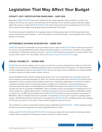# <span id="page-14-1"></span><span id="page-14-0"></span>**Legislation That May Affect Your Budget**

# <span id="page-14-2"></span>**COUNTY LEVY CERTIFICATION DEADLINES – SHB 1309**

Beginning in 2021, [SHB 1309](http://lawfilesext.leg.wa.gov/biennium/2021-22/Pdf/Bills/Session%20Laws/House/1309-S.SL.pdf?q=20210623143734) extends the deadline for the county legislative body to certify the county's own property tax levies to the assessor from November 30 to December 15. For counties using the alternate budget dates, this resolves a conflict with [RCW 36.40.071-.090,](https://app.leg.wa.gov/rcw/default.aspx?cite=36.40&full=true#36.40.071) which require the board of commissioners to fix the levy amount after the final budget hearing beginning the first Monday in December.

The bill also extends the deadline for the legislative body to certify property taxes for other taxing districts that cannot certify directly to the assessor – such as fire districts or cemetery districts – from November 30 to the first Monday in December.

# <span id="page-14-3"></span>**AFFORDABLE HOUSING ACQUISITION – ESHB 1070**

[ESHB 1070](http://lawfilesext.leg.wa.gov/biennium/2021-22/Pdf/Bills/Session%20Laws/House/1070-S.SL.pdf?q=20210628112057) expands the affordable housing & related services sales tax [\(RCW 82.14.530](https://app.leg.wa.gov/rcw/default.aspx?cite=82.14.530)) to allow the revenues to be used for acquiring affordable housing, behavioral health facilities, or land for those purposes. It also updates the definition of "affordable workforce housing" in [RCW 67.28.180](https://app.leg.wa.gov/rcw/default.aspx?cite=67.28.180) (related to lodging tax revenues) to 80% of the county median income. For more details, see our [Affordable Housing Funding Sources](https://mrsc.org/Home/Explore-Topics/Planning/Housing/Affordable-Housing-Funding-Sources.aspx) page.

# <span id="page-14-4"></span>**FISCAL FLEXIBILITY – E2SHB 1069**

[E2SHB 1069](http://lawfilesext.leg.wa.gov/biennium/2021-22/Pdf/Bills/Session%20Laws/House/1069-S2.SL.pdf?q=20210630135507) expands the eligible uses of various tax revenues, as well as adjusting the number of months that a utility can lien a property for delinquent payments due to a declared state of emergency. The Mental Health & Chemical Dependency Sales & Use Tax ([RCW 82.14.460\)](https://apps.leg.wa.gov/RCW/default.aspx?cite=82.14.460) can be used to make modifications to existing facilities to address health and safety needs to deliver services.

Unlike the Mental Health & Chemical Dependency Sales & Use Tax, the expanded uses in the other taxes in the bill are temporary and expire December 31, 2023. The Criminal Justice Sales & Use Tax [\(RCW 82.14.340](https://app.leg.wa.gov/rcw/default.aspx?cite=82.14.340)) has been expanded to include local government programs which have a reasonable relationship to reducing the numbers of people interacting with the criminal justice system including, but not limited to, reducing homelessness or improving behavioral health. The Real Estate Excise Tax (REET) First Quarter Percent ([RCW 82.46.010](https://apps.leg.wa.gov/RCW/default.aspx?cite=82.46.010)) allows counties and cities to use greater of \$100,000 or 35% of available funds for the operation of, maintenance of, and service support for, existing capital projects, including the provision of services to residents of affordable housing or shelter units. The REET Second Quarter Percent [\(RCW 82.46.035](https://apps.leg.wa.gov/RCW/default.aspx?cite=82.46.035)) allows counties and cities to use greater of \$100,000 or 35% of available funds for the operation of, maintenance of, and service support for, existing capital projects. HB 1069 also added to the Business & Occupation Tax ([RCW 82.04.050\)](https://apps.leg.wa.gov/RCW/default.aspx?cite=82.04.050), clarifying that the sale of lodging for less than one month is not a rental or lease, and thus subject to sales and use tax.

The prohibition on using criminal justice shared revenue distributions ([RCW 82.14.310 - .330](https://app.leg.wa.gov/RCW/default.aspx?cite=82.14&full=true#82.14.310)) to supplant existing funding has also been temporarily removed through December 31, 2023.

Finally, under [RCW 35.21.290](https://apps.leg.wa.gov/RCW/default.aspx?cite=35.21.290) and [RCW 35.67.210](https://apps.leg.wa.gov/RCW/default.aspx?cite=35.67.210) a lien may be imposed for more months of delinquent utility charges when a declaration of emergency prevents collection of utility charges.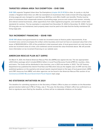# <span id="page-15-1"></span><span id="page-15-0"></span>**TARGETED URBAN AREA TAX EXEMPTION – EHB 1386**

[EHB 1386](http://lawfilesext.leg.wa.gov/biennium/2021-22/Pdf/Bills/Session%20Laws/House/1386.SL.pdf?q=20210630135415) expands Targeted Urban Area Tax Exemptions ([chapter 84.25 RCW](https://app.leg.wa.gov/RCW/default.aspx?cite=84.25&full=true)) to cities. A county or city that creates a Targeted Urban Area can offer tax exemptions to businesses that create at least 25 living wage jobs. A living wage job was changed to a job that pays \$23/hour and offers health care benefits. Priority must be given to businesses that compensate workers at prevailing wage, procure and contract with women, minority, and veteran-owned businesses, utilize apprentices from state-registered programs, and maintain certain labor standards for workers. The tax exemption is extended from December 31, 2022 to December 31, 2030. If at least 25 living jobs are not maintained, back property taxes must be paid to the date that the facility maintained 25 living wage jobs.

### <span id="page-15-2"></span>**TAX INCREMENT FINANCING – ESHB 1189**

[ESHB 1189](http://lawfilesext.leg.wa.gov/biennium/2021-22/Pdf/Bills/Session%20Laws/House/1189-S.SL.pdf?q=20210630135736) allows local governments to create tax increment areas to finance public improvements. A tax increment area cannot encompass the entity's entire boundary and must not have an assessed value that is the lesser of \$200,000,000 or 20% of the jurisdiction's total assessed value. A local government can only have two active tax increment areas at a time, and combined cannot exceed the value threshold above. We will provide more information on tax increment financing on our website soon.

# <span id="page-15-3"></span>**AMERICAN RESCUE PLAN ACT (ARPA)**

On March 11, 2021, the federal American Rescue Plan Act (ARPA) was signed into law. The law appropriated a \$1.9 trillion package which included \$130.2 billion in Local Fiscal Recovery Funds (LFRF) for counties, cities, and towns. The funds will be distributed in two tranches, one in 2021 and another in 2022. The US Treasury Department has published the Interim Final Rule and FAQ which discuss the eligible uses of LFRF and has also published guidance on the quarterly and annual reports required based on the type of local government. ARPA and LFRF resources from MRSC and other agencies can be found in the American Rescue Plan section of our [Coronavirus \(COVID-19\) Local Government Fiscal Impacts](https://mrsc.org/Home/Explore-Topics/Public-Safety/Emergency-Services/Public-Health-Emergencies/Coronavirus-Economic-Impacts-and-Mitigation.aspx) topic page.

### <span id="page-15-4"></span>**NO STATEWIDE INITIATIVES IN 2021**

The deadline for submitting signatures to the Secretary of State's Office to place an initiative on the November general election ballot was 5 PM on Friday, July 2. This year, the Secretary of State's office has confirmed to us that no signatures were filed by the deadline, so there will be no statewide initiatives on the ballot.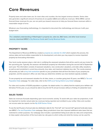# <span id="page-16-0"></span>**Core Revenues**

Property taxes and sales taxes are, for most cities and counties, the two largest revenue streams. Some cities also generate a significant amount of business & occupation (B&O) and utility tax revenues. While MRSC cannot forecast those revenues for you, we can point you toward resources to help you forecast these revenues within a reasonable margin of error.

Whatever your forecasting methodology, it is important to document the methodology and discuss it with your budget team.

For a detailed understanding of Washington's property tax, sales tax, B&O taxes, and other local revenue sources, download MRSC's [City Revenue Guide](https://mrsc.org/getmedia/d3f7f211-fc63-4b7a-b362-cb17993d5fe5/Revenue-Guide-For-Washington-Cities-and-Towns.pdf.aspx?ext=.pdf) and [County Revenue Guide.](https://mrsc.org/getmedia/4865001b-1f63-410a-a5ed-8d1ad8d752f3/Revenue-Guide-For-Washington-Counties.pdf.aspx?ext=.pdf)

### <span id="page-16-1"></span>**PROPERTY TAXES**

The Department of Revenue (DOR) has created a [property tax calendar for 2021](https://dor.wa.gov/sites/default/files/legacy/Docs/Pubs/Prop_Tax/2021PropTaxCalendar.pdf) which explains the process, the various state and local entities responsible for its development, and when you may expect to receive important property tax forecasting information.

Your local county assessor plays a vital role in certifying the assessed valuations that will be used to set your levies for the upcoming year. Typically, the assessor will distribute property tax information during the second half of September each year. This information consists of assessed valuations, new construction valuations, and state utility valuations, as well as each jurisdiction's current levy amounts, levy rates, and maximum statutory levy rate. The county assessor will provide you with a [levy limit worksheet](https://dor.wa.gov/get-form-or-publication/forms-subject/property-tax-forms#Levy) specific to your jurisdiction that will form the basis of your property tax projection, and the assessor's office can also help you determine whether you have banked capacity available.

To see property tax and assessed valuation for all cities, towns, or counties going back 10 years, see MRSC's [Tax and](https://mrsc.org/Home/Explore-Topics/Finance/Economic-and-Population-Data/Population-Property-and-Sales-Tax-Archive.aspx)  [Population Data](https://mrsc.org/Home/Explore-Topics/Finance/Economic-and-Population-Data/Population-Property-and-Sales-Tax-Archive.aspx) webpage. For older data, refer to the [DOR Local Taxing District Levy Detail](https://dor.wa.gov/about/statistics-reports/local-taxing-district-levy-detail) webpage.

For cities and counties of 10,000 population or greater: As stated earlier, it is unlikely that the implicit price deflator will fall below 1% this year, so you should be able to levy the full 1% annual increase without a finding of substantial need.

### <span id="page-16-2"></span>**SALES TAXES**

Sales tax revenues fluctuate depending upon local economic activity. To assist with your sales tax projections, it will be important to monitor actual sales tax revenues being reported and remitted to your entity. Cities and counties can access sales tax reports via the [My DOR Partner Portal.](https://dor.wa.gov/about/statistics-reports/information-local-governments/access-local-sales-tax-information)

To see the last 10 years of annual sales tax distribution data for the "first half" and "second half" (general fund) sales taxes, see MRSC's [Tax and Population Data](https://mrsc.org/Home/Explore-Topics/Finance/Economic-and-Population-Data/Population-Property-and-Sales-Tax-Archive.aspx) webpage. Many jurisdictions have also imposed additional sales taxes that are restricted to certain purposes. Our webpage also includes a spreadsheet listing local sales tax rates and components, to help explain what portion of the local sales tax rate goes to which entity and what the money can be used for.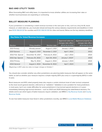# <span id="page-17-0"></span>**B&O AND UTILITY TAXES**

When forecasting B&O and utility taxes, it is important to know whether utilities are increasing their rates or whether local businesses are expanding or contracting.

### <span id="page-17-1"></span>**BALLOT MEASURE PLANNING**

If your jurisdiction is considering a voted revenue increase in the next year or two, such as a levy lid lift, bond measure, or voted sales tax, you must plan ahead and keep the various statutory requirements and deadlines in mind (see [RCW 29A.04.321](https://apps.leg.wa.gov/RCW/default.aspx?cite=29A.04.321) for counties and [RCW 29A.04.330](https://apps.leg.wa.gov/RCW/default.aspx?cite=29A.04.330) for cities and towns). Below are the key statutory deadlines.

| <b>Key Dates for Voted Revenue Increases</b> |                   |                      |                                                              |                                                                 |  |  |  |
|----------------------------------------------|-------------------|----------------------|--------------------------------------------------------------|-----------------------------------------------------------------|--|--|--|
| <b>Election</b>                              | Filing deadline   | <b>Election date</b> | Approved sales tax<br>changes take effect<br>(RCW 82.14.055) | Approved property tax<br>changes take effect<br>(RCW 84.52.070) |  |  |  |
| 2021 Primary                                 | Already passed    | August 3, 2021       | January 1, 2022                                              | 2022                                                            |  |  |  |
| 2021 General                                 | August 3, 2021    | November 2, 2021     | April 1, 2022                                                | 2022                                                            |  |  |  |
| 2022 Feb. Special                            | December 10, 2021 | February 8, 2022     | July 1, 2022                                                 | 2023                                                            |  |  |  |
| 2022 Apr. Special                            | February 25, 2022 | April 26, 2022       | January 1, 2023*                                             | 2023                                                            |  |  |  |
| 2022 Primary                                 | May 13, 2022      | August 2, 2022       | January 1, 2023                                              | 2023                                                            |  |  |  |
| 2022 General                                 | August 2, 2022    | November 8, 2022     | April 1, 2023                                                | 2023                                                            |  |  |  |

*\*Beginning in 2017, sales tax rates no longer change on October 1*

You should also consider whether any other jurisdictions are planning ballot measures that will appear on the same ballot, as well as whether your measure requires a simple majority (50% plus one) or a supermajority (60%) in order to pass.

Bond measures and 60% voted property taxes also require a certain minimum level of voter turnout compared to the most recent general election, referred to as "validation." Validation is not a problem for most jurisdictions in most years, but it can create difficulties for some jurisdictions in low-turnout special elections or in years immediately following high-turnout elections – such as 2023 and 2025 following the state/federal elections. For details and to see which types of ballot measures require validation, see MRSC's [City Revenue Guide](https://mrsc.org/getmedia/d3f7f211-fc63-4b7a-b362-cb17993d5fe5/Revenue-Guide-For-Washington-Cities-and-Towns.pdf.aspx?ext=.pdf) and [County](https://mrsc.org/getmedia/4865001b-1f63-410a-a5ed-8d1ad8d752f3/Revenue-Guide-For-Washington-Counties.pdf.aspx?ext=.pdf)  [Revenue Guide](https://mrsc.org/getmedia/4865001b-1f63-410a-a5ed-8d1ad8d752f3/Revenue-Guide-For-Washington-Counties.pdf.aspx?ext=.pdf).

To see how ballot measures have fared in other jurisdictions recently, see MRSC's [Local Ballot Measure Database.](https://mrsc.org/Elections.aspx)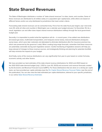# <span id="page-18-0"></span>**State Shared Revenues**

The State of Washington distributes a number of "state shared revenues" to cities, towns, and counties. Some of these revenues are distributed to all entities solely on a population (per capita) basis, while others are based on different factors and/or are only distributed to jurisdictions that meet certain criteria.

Forecasting state shared revenues can be somewhat tricky. First of all, the state fiscal year begins July 1 and ends June 30, while all cities and counties in Washington use a calendar year budget (January 1 to December 31). As a result, legislation can and often does impact shared revenue distributions halfway through the local government budget year.

Secondly, it is impossible to predict what the legislature will do – in recent years, it has added new distributions (increased gas taxes, multimodal transportation, and marijuana excise taxes), reduced distributions (marijuana excise taxes, which were later restored), and attempted to eliminate distributions (the fire insurance premium tax, which was preserved by the governor's veto). When creating long-range forecasts, remember that these resources are potentially vulnerable during each legislative session. Careful monitoring of legislative sessions will help you keep abreast of changes to these revenue sources, and strategically thinking and planning for potential shortfalls will help minimize the impacts to your budget.

And finally, some of the revenue distributions can vary significantly from year to year based on certain formulas, economic activity, and other factors.

We have provided our best estimates of the state shared revenue distributions for 2022 and 2023 based on the 2021-2023 state biennial budget (July 1, 2021 to June 30, 2023) and economic and revenue forecasts created by the Economic and Revenue Forecast Council (ERFC). For those distributions that are done on a strictly per capita basis, we have provided per capita estimates (see the *[Per Capita Shared Revenue Forecast Tables](#page-35-0)* near the end of this publication). You can also view the total estimated per capita distributions, tailored to your specific jurisdiction, in our online [State Shared Revenue Estimator](http://mrsc.org/Home/Explore-Topics/Finance/Budgets/State-Shared-Revenue-Estimator.aspx).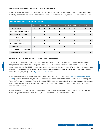# <span id="page-19-0"></span>**SHARED REVENUE DISTRIBUTION CALENDAR**

Shared revenues are distributed on the last business day of the month. Some are distributed monthly and others quarterly, while the fire insurance premium tax is distributed on an annual basis, according to the schedule below.

| <b>Shared Revenue Distribution Calendar</b> |     |           |           |           |           |           |           |           |           |     |     |            |
|---------------------------------------------|-----|-----------|-----------|-----------|-----------|-----------|-----------|-----------|-----------|-----|-----|------------|
|                                             | Jan | Feb       | Mar       | Apr       | May       | Jun       | Jul       | Aug       | Sep       | Oct | Nov | <b>Dec</b> |
| Gas Tax (MVFT)                              |     | $\bullet$ | $\bullet$ | $\bullet$ | $\bullet$ |           |           | $\bullet$ | $\bullet$ |     |     |            |
| Increased Gas Tax (MVFT)                    |     |           | $\bullet$ |           |           | $\bullet$ |           |           | $\bullet$ |     |     |            |
| <b>Multimodal Distribution</b>              |     |           | $\bullet$ |           |           | $\bullet$ |           |           | $\bullet$ |     |     |            |
| Liquor Excise Tax                           |     |           |           | ●         |           |           | $\bullet$ |           |           |     |     |            |
| <b>Liquor Profits</b>                       |     |           | $\bullet$ |           |           | $\bullet$ |           |           | $\bullet$ |     |     |            |
| Marijuana Excise Tax                        |     |           | $\bullet$ |           |           | $\bullet$ |           |           | $\bullet$ |     |     |            |
| <b>Criminal Justice</b>                     |     |           |           | $\bullet$ |           |           | $\bullet$ |           |           |     |     |            |
| Fire Insurance Premium Tax                  |     |           |           |           | $\bullet$ |           |           |           |           |     |     |            |
| <b>City/County Assistance</b>               |     |           | ●         |           |           |           |           |           | $\bullet$ |     |     |            |

### <span id="page-19-1"></span>**POPULATION AND ANNEXATION ADJUSTMENTS**

Changes in total distribution *amounts* (if any) begin each year on July 1, the beginning of the state's fiscal period. The per capita distribution *rates* are updated each year on January 1 to reflect the most recent OFM annual population estimates. Our 2022 per capita estimates are based on the April 1, 2021 OFM population estimates, with an **incorporated population of 5,064,210** and an **unincorporated population of 2,702,715**, for a **total statewide population of 7,766,925** (see the *[Population Estimates](#page-10-0)* section).

In addition, OFM makes quarterly adjustments for any new annexations (see OFM's [Central Annexation Tracking](https://ofm.wa.gov/washington-data-research/annexations-and-municipal-boundary-changes/central-annexation-tracking-system)  [System\)](https://ofm.wa.gov/washington-data-research/annexations-and-municipal-boundary-changes/central-annexation-tracking-system). Cities that annex qualify for state shared revenue distributions on their new population base starting the first day of the quarter after the effective date of the OFM-approved annexation. Distributions for other cities, towns, and counties may be adjusted slightly each quarter as a result, but the overall impact on per capita distribution rates should be minimal.

The rest of this publication will describe the various state shared revenues distributed to cities and counties and provide projected distribution amounts and, for per capita revenues only, distribution rates.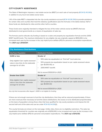# <span id="page-20-0"></span>**CITY-COUNTY ASSISTANCE**

The State of Washington imposes a real estate excise tax (REET) on each sale of real property ([RCW 82.45.060\)](https://app.leg.wa.gov/rcw/default.aspx?cite=82.45.060), in addition to any local real estate excise taxes.

1.4% of the state REET is deposited into the city-county assistance account [\(RCW 43.08.290](http://app.leg.wa.gov/RCW/default.aspx?cite=43.08.290)) to provide assistance for certain cities and counties that meet the statutory qualifications (see the formulas in the tables below). Half of these funds are distributed to cities and the other half to counties.

These funds were originally intended to mitigate the loss of the motor vehicle excise tax (MVET) that was distributed to local governments as a means of equalization of sales tax.

The formula used to allocate city funding is based on a sales and property tax equalization formula and the 2005 MVET backfill levels. The maximum distribution for any eligible city was originally capped at \$100,000, to be increased each year by the increase in the July implicit price deflator (IPD) for personal consumption expenditures. The **2021 cap is \$129,501**.

| <b>City Assistance Distributions</b>                                                                      |                                                                                                                                                                                                                                                             |
|-----------------------------------------------------------------------------------------------------------|-------------------------------------------------------------------------------------------------------------------------------------------------------------------------------------------------------------------------------------------------------------|
| <b>City/Town Population</b>                                                                               | <b>Distribution Formula</b>                                                                                                                                                                                                                                 |
| 5,000 or less                                                                                             | <b>Greater of</b>                                                                                                                                                                                                                                           |
| Only eligible if per capita assessed<br>value is less than 2x the statewide<br>average for all cities     | 55% sales tax equalization on "first half" local sales tax;<br>$\bullet$<br>55% property tax equalization based on per capita assessed values<br>$\bullet$<br>(per \$1,000 AV); or<br>2005 MVET backfill.<br>$\bullet$<br>Not to exceed \$129,501 (in 2021) |
| Greater than 5,000                                                                                        | <b>Greater of</b>                                                                                                                                                                                                                                           |
| Only eligible if per capita assessed<br>value is less than the statewide<br><i>average for all cities</i> | 50% sales tax equalization on "first half" local sales tax; or<br>$\bullet$<br>55% property tax equalization based on per capita assessed values<br>$\bullet$<br>(per \$1,000 AV)                                                                           |
|                                                                                                           | Not to exceed \$129,501 (in 2021)                                                                                                                                                                                                                           |

*Any city that incorporates after August 1, 2005 is not eligible for funding.*

If there are not enough revenues to fund the city distributions, then they will be reduced proportionately. If there are more revenues than necessary to fund the above distributions, the excess is to be distributed proportionately on the basis of population among those cities that have qualified for city-county assistance and impose the full second half-cent of the sales and use tax under [RCW 82.14.030](http://apps.leg.wa.gov/rcw/default.aspx?cite=82.14.030)(2).

The county formulas are shown on the next page. Unlike cities, there are no eligibility restrictions. The sales tax equalization threshold for counties was originally set at \$250,000, to be increased each year by the increase in the July implicit price deflator (IPD) for personal consumption expenditures. The **2021 cap is \$312,162**.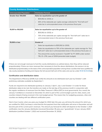| <b>County Assistance Distributions</b> |                                                                                                                                                                            |  |  |  |
|----------------------------------------|----------------------------------------------------------------------------------------------------------------------------------------------------------------------------|--|--|--|
| <b>Unincorporated Population</b>       | <b>Distribution Formula</b>                                                                                                                                                |  |  |  |
| Greater than 100,000                   | Sales tax equalization up to the greater of:                                                                                                                               |  |  |  |
|                                        | \$312,162 (in 2021); or<br>$\bullet$                                                                                                                                       |  |  |  |
|                                        | 65% of the statewide per capita average collected for "first half-cent"<br>$\bullet$<br>sales tax in unincorporated areas in the previous fiscal year                      |  |  |  |
| 15,001 to 100,000                      | Sales tax equalization up to the greater of:                                                                                                                               |  |  |  |
|                                        | \$312,162 (in 2021); or<br>$\bullet$                                                                                                                                       |  |  |  |
|                                        | 70% of the statewide per capita average for "first half-cent" sales tax in<br>$\bullet$<br>unincorporated areas in the previous fiscal year                                |  |  |  |
| 15,000 or less                         | <b>Greater of</b>                                                                                                                                                          |  |  |  |
|                                        | Sales tax equalization to \$312,162 (in 2021);<br>$\bullet$                                                                                                                |  |  |  |
|                                        | Sales tax equalization to 70% of the statewide per capita average for "first"<br>$\bullet$<br>half-cent" sales tax in unincorporated areas in the previous fiscal year; or |  |  |  |
|                                        | The amount the county received in "backfill" for FY 2005 under section<br>$\bullet$<br>716, Ch. 276, Laws of 2004 (amended state budget).                                  |  |  |  |

If there are not enough revenues to fund the county distributions as outlined above, then they will be reduced proportionately. If there are more revenues than necessary to fund the above distributions, the excess is to be distributed proportionately on the basis of the unincorporated population among those counties that have qualified for city-county assistance funding and impose the full second half-cent of the sales and use tax under [RCW 82.14.030\(](http://apps.leg.wa.gov/rcw/default.aspx?cite=82.14.030)2).

#### **Certification and distribution dates**

The Department of Revenue (DOR) must certify the amounts to be distributed each year by October 1, with preliminary estimates available by September 1.

Funds are required to be distributed quarterly on January 1, April 1, July 1, and October 1. In order for these distribution dates to be met, the transfers are made on the last day of the previous month in conjunction with the regular remittance of revenues from the State Treasurer's Office (OST) to local governments. As a result, the January 1 remittance is received on December 31, which is part of the current budget cycle for cities, towns, and counties instead of being received in the next budget period. This means that, for budgeting purposes, cities and counties are dealing with two different certification years.

Here's how it works: when you pass your budget for 2022 later this year, you will know the amount for which you are certified for 2022, but keep in mind that the first payment from that certification will arrive in December and will become part of the current year's revenues. The amount you forecast for 2022 will depend on the October 1, 2021 certification, less the January distribution (received December 31), plus your "guesstimate" of your January 2023 distribution (certified October 1, 2022 and received December 31, 2022).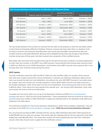|               | <b>City-County Assistance Distribution Certification and Payment Dates</b> |                                        |                                                          |                           |  |  |  |  |
|---------------|----------------------------------------------------------------------------|----------------------------------------|----------------------------------------------------------|---------------------------|--|--|--|--|
|               |                                                                            | <b>Statutory Date for Distribution</b> | <b>Actual Payment Date</b><br>last business day of month | <b>Certification Date</b> |  |  |  |  |
|               | 1st Quarter                                                                | April 1, 2021                          | <b>March 2021</b>                                        | October 1, 2020           |  |  |  |  |
| <b>Budget</b> | 2nd Quarter                                                                | July 1, 2021                           | June 2021                                                | October 1, 2020           |  |  |  |  |
| 2021          | 3rd Quarter                                                                | October 1, 2021                        | September 2021                                           | October 1, 2020           |  |  |  |  |
|               | 4th Quarter                                                                | January 1, 2022                        | December 2021                                            | October 1, 2021           |  |  |  |  |
|               | 1st Quarter                                                                | April 1, 2022                          | <b>March 2022</b>                                        | October 1, 2021           |  |  |  |  |
| <b>Budget</b> | 2nd Quarter                                                                | July 1, 2022                           | June 2022                                                | October 1, 2021           |  |  |  |  |
| 2022          | 3rd Quarter                                                                | October 1, 2022                        | September 2022                                           | October 1, 2021           |  |  |  |  |
|               | 4th Quarter                                                                | January 1, 2023                        | December 2022                                            | October 1, 2022           |  |  |  |  |

The city-county assistance fund receives its revenues from the sales of real property, so when the real estate market is active funds are frequently sufficient to distribute. However, revenues decrease when there is a downturn in the economy, as was the case during the Great Recession and several years thereafter. During that time cities and counties received a decreased distribution. Because of the weighted formula, there was enough to fully fund the counties during many of those years, but cities received only a proportion of their certified amounts.

Real estate sales have been brisk throughout the state for the past several years resulting in increased distributions for both cities and counties. In the ERFC June 2020 forecast, it was predicted that housing sales would be lower in 2020 and 2021 due to the COVID-19 pandemic, and therefore lower REET amounts were projected. But in fact, housing sales have remained strong during this period.

#### **2021 Update**

The total certification amount for 2021 was \$11.27 million for cities and \$5.4 million for counties. Of this amount, both cities and counties received their January distribution in calendar year 2020 (see distribution table) and you have now received the April and July distributions. According to the June 2021 ERFC forecast of real estate excise tax receipts, cities and counties are currently expected to receive \$3.62 million from the real estate excise tax in the October distribution, which will be paid out at the end of September. That would bring the total so far for 2021 to \$20.20 million. There will be one more payment this calendar year – the January 2022 distribution, which cities and counties will receive at the end of December.

To update your forecast for 2021, you can go to the Department of Revenue (DOR) [City-County Assistance](https://dor.wa.gov/about/statistics-reports/city-county-assistance)  [webpage](https://dor.wa.gov/about/statistics-reports/city-county-assistance) and click on "2021 City and County Distributions." These spreadsheets show the amounts for which each city and county were certified in 2020. Remember to adjust the estimated total for the distribution date differences explained in the table above.

The preliminary estimates for City-County Assistance distributions in 2022 will be available in September. They will be posted on the DOR [City-County Assistance webpage](https://dor.wa.gov/about/statistics-reports/city-county-assistance) under **"2022 City and County Distribution Estimates."**

The June forecast provided by ERFC estimates that the January 2022 distribution (December 2021 payment) will be \$2,765,000 each for cities and counties. That would make the statewide total for the four payments for the 2021 budget year equal \$22.96 million. This means that counties will receive significantly more than their certification amount, while cities should receive roughly their full certification amount.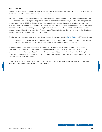#### **2022 Forecast**

As previously mentioned the DOR will release the estimates in September. The June 2021 ERFC forecasts indicate a distribution of \$10.33 million each for cities and counties.

If you cannot wait until the release of the preliminary certification in September to make your budget estimate for 2022, then take your entity's percentage share of the 2021 certification and multiply it by the estimated pot of city or county revenue for 2022, or \$10.33 million. This methodology assumes that your share of the last payment in 2021 (which will come from the October 1, 2021 certification) will be the same percentage amount as the first three payments, and this is a reasonably good assumption for most entities. But the September and October numbers will be the more reliable estimates, especially if you are one of those jurisdictions close to the limits on the distribution formula provided at the beginning of this discussion.

Another wrinkle in revenue forecasting is the timing of the preliminary certification. [RCW 43.08.290](http://app.leg.wa.gov/RCW/default.aspx?cite=43.08.290)(6)(d) states, in part:

By September 1, 2010, and September 1st of every year thereafter, the department of revenue must make available a preliminary certification of the amounts to be distributed under this section…

A component of releasing the ESSB 6050 distributions is having the Implicit Price Deflator (IPD) for personal consumption expenditures, and what the drafter of the legislation did not realize is that the July IPD for personal consumption expenditures is not published until the third week of September. Therefore the "preliminary" certification is not available on September 1. As mentioned, the October release by DOR will be your most accurate estimate for next year's distributions.

*Editor's Note: The real estate excise tax revenues and forecasts are the work of Eric Swenson of the Washington State Economic and Revenue Forecast Council (ERFC).*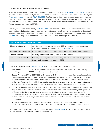# <span id="page-24-0"></span>**CRIMINAL JUSTICE REVENUES – CITIES**

There are two separate criminal justice distributions for cities, created by [RCW 82.14.320](http://app.leg.wa.gov/RCW/default.aspx?cite=82.14.320) and [82.14.330.](http://app.leg.wa.gov/RCW/default.aspx?cite=82.14.330) Each program originally (in state fiscal year 2000) appropriated a total of \$4.6 million, to be increased each July by the "[fiscal growth factor"](https://elc.wa.gov/fiscal-growth-factors) set forth in [RCW 43.135.025.](http://app.leg.wa.gov/rcw/default.aspx?cite=43.135.025) The fiscal growth factor is the average annual growth in state personal income for the prior ten fiscal years, and the distributions have now grown to total \$10,829,607 (as of 2021) for each of these two separate criminal justice resources. The amount to be distributed for 2022 will be \$11,456,641 for each program, an increase of 5.79%.

Criminal justice revenues created by [RCW 82.14.320](http://app.leg.wa.gov/RCW/default.aspx?cite=82.14.320) – the "Criminal Justice – High Crime" distributions – are distributed partially based on crime rates and we cannot forecast them. The cities that may qualify for these funds know who they are and are aware of the problems they have in forecasting these revenues. As mentioned earlier, [HB 1069](http://lawfilesext.leg.wa.gov/biennium/2021-22/Pdf/Bills/Session%20Laws/House/1069-S2.SL.pdf) temporarily allows these funds to supplant existing revenues through December 31, 2023.

| <b>City Criminal Justice - High Crime</b> |                                                                                                                                            |  |  |  |
|-------------------------------------------|--------------------------------------------------------------------------------------------------------------------------------------------|--|--|--|
| <b>Eligible jurisdictions</b>             | Any city or town with a crime rate over 125% of the annual statewide average that<br>also meets the other requirements of RCW 82.14.320(2) |  |  |  |
| <b>Estimated 2022 distribution</b>        | No estimate provided. Determined by population, crime rates, and other factors.                                                            |  |  |  |
| <b>Payment received</b>                   | Quarterly at the end of January, April, July, and October                                                                                  |  |  |  |
| Revenue must be used for                  | Criminal justice purposes; may temporarily replace or supplant existing criminal<br>justice funding through December 31, 2023              |  |  |  |

Criminal justice funds created by [RCW 82.14.330](http://app.leg.wa.gov/RCW/default.aspx?cite=82.14.330) have four different components for distribution:

- **• Population:** 16%, or \$1,833,063, is distributed to all cities and towns on a per capita basis, with each city receiving a minimum of \$1,000 no matter how small its population.
- **• Special Programs:** 54%, or \$6,186,586, is distributed to all cities and towns on a strictly per capita basis to be used for innovative law enforcement strategies, programs to help at-risk children or child abuse victims, and programs to reduce the level of domestic violence or to provide counseling for domestic violence victims. While these funds must be spent in these specific areas, there is no requirement for how much must be spent in each area. The city's entire distribution could be spent in only one of these areas if the city wishes.
- **• Contracted Services:** 10%, or \$1,145,664, goes to cities that contract with another governmental agency for the majority of their law enforcement services. Cities that qualify for this distribution must notify the Department of Commerce by **November 30, 2021** to receive 2022 distributions. Cities are responsible for notifying Commerce of any changes regarding these contractual relationships. However, any cities that are added to or removed from this list will only impact distributions for the next calendar year, and no adjustments will be made retroactively.
- **• Violent Crime:** 20%, or \$2,291,328, goes to cities with a three-year average violent crime rate (per 1,000 population) above 150% of the three-year statewide average. No city may receive more than \$1.00 per capita.

On the next page is a summary of the four distributions under [RCW 82.14.330.](http://app.leg.wa.gov/RCW/default.aspx?cite=82.14.330) These are the labels under which the state treasurer's office makes the quarterly distributions.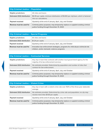| <b>City Criminal Justice - Population</b> |                                                                                                                               |  |  |  |
|-------------------------------------------|-------------------------------------------------------------------------------------------------------------------------------|--|--|--|
| <b>Eligible jurisdictions</b>             | All cities and towns                                                                                                          |  |  |  |
| <b>Estimated 2022 distribution</b>        | \$0.35 per capita; minimum distribution of \$1,000 per city/town, which is factored<br>into our calculations.                 |  |  |  |
| <b>Payment received</b>                   | Quarterly at the end of January, April, July, and October                                                                     |  |  |  |
| Revenue must be used for                  | Criminal justice purposes; may temporarily replace or supplant existing criminal<br>justice funding through December 31, 2023 |  |  |  |

| <b>City Criminal Justice - Special Programs</b> |                                                                                                                                |  |  |  |
|-------------------------------------------------|--------------------------------------------------------------------------------------------------------------------------------|--|--|--|
| Eligible jurisdictions                          | All cities and towns                                                                                                           |  |  |  |
| <b>Estimated 2022 distribution</b>              | \$1.24 per capita                                                                                                              |  |  |  |
| <b>Payment received</b>                         | Quarterly at the end of January, April, July, and October                                                                      |  |  |  |
| Revenue must be used for                        | Innovative law enforcement strategies, programs for child abuse victims/at-risk<br>children, and/or domestic violence programs |  |  |  |

| <b>City Criminal Justice - Contracted Services</b> |                                                                                                                               |
|----------------------------------------------------|-------------------------------------------------------------------------------------------------------------------------------|
| Eligible jurisdictions                             | Any city or town that contracts with another local government agency for the<br>majority of its law enforcement services      |
| <b>Estimated 2022 distribution</b>                 | No estimate provided. Determined by population and number of cities that<br>contract for law enforcement.                     |
| <b>Payment received</b>                            | Quarterly at the end of January, April, July, and October                                                                     |
| Revenue must be used for                           | Criminal justice purposes; may temporarily replace or supplant existing criminal<br>justice funding through December 31, 2023 |

| <b>City Criminal Justice - Violent Crime</b> |                                                                                                                               |  |
|----------------------------------------------|-------------------------------------------------------------------------------------------------------------------------------|--|
| Eligible jurisdictions                       | Any city or town with a violent crime rate over 150% of the three-year statewide<br>average.                                  |  |
| <b>Estimated 2022 distribution</b>           | No estimate provided. Determined by crime rate and population; no city may<br>receive more than \$1.00 per capita.            |  |
| Payment received                             | Quarterly at the end of January, April, July, and October                                                                     |  |
| Revenue must be used for                     | Criminal justice purposes; may temporarily replace or supplant existing criminal<br>justice funding through December 31, 2023 |  |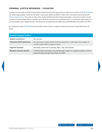# <span id="page-26-0"></span>**CRIMINAL JUSTICE REVENUES – COUNTIES**

Counties receive state shared criminal justice funds from the state general fund under the provisions of [RCW 82.14.310](http://app.leg.wa.gov/RCW/default.aspx?cite=82.14.310). The initial appropriation, made by the state in fiscal year 2000, was \$23.2 million and is increased each July by the "[fiscal growth factor,](https://elc.wa.gov/fiscal-growth-factors)" the same as cities. The county funding formula includes population, crime rate, and the annual number of criminal cases filed in superior court. Because revenues are not distributed on a strictly per capita basis, we cannot provide a per capita forecast. The amount to be distributed for 2022 will be \$57,781,319, an increase of 5.79%.

As mentioned earlier, [HB 1069](http://lawfilesext.leg.wa.gov/biennium/2021-22/Pdf/Bills/Session%20Laws/House/1069-S2.SL.pdf) temporarily allows these funds to supplant existing revenues through December 31, 2023.

| <b>County Criminal Justice</b>     |                                                                                                                                |
|------------------------------------|--------------------------------------------------------------------------------------------------------------------------------|
| Eligible jurisdictions             | All counties                                                                                                                   |
| <b>Estimated 2022 distribution</b> | No estimate provided. Determined by population, crime rate, and number of<br>criminal cases filed in superior court.           |
| Payment received                   | Quarterly at the end of January, April, July, and October                                                                      |
| Revenue must be used for           | Criminal justice purposes; may temporarily replace or supplant existing criminal<br>justice funding through December 31, 2023. |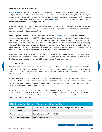### <span id="page-27-0"></span>**FIRE INSURANCE PREMIUM TAX**

[RCW 41.16.050](http://app.leg.wa.gov/RCW/default.aspx?cite=41.16.050) requires each municipality having a regularly organized full-time fire department with paid firefighters to establish a firefighters' pension fund. This fund is to consist of all bequests, gifts, or donations given or paid to the municipality for the firefighters' pension fund; a proportional share of the state tax on fire insurance premiums; property taxes collected under the provisions of [RCW 41.16.060;](http://app.leg.wa.gov/RCW/default.aspx?cite=41.16.060) interest on the investments of the fund; and any contributions made by firefighters themselves.

The state collects a 2% tax on the premiums of all insurance policies written. Of the tax collected on fire policies and the fire component of homeowner's and commercial multi-peril policies, 25% is distributed to cities and fire districts that have firefighters' pension funds.

The moneys received from the tax on fire insurance premiums under [RCW 41.16.050](http://app.leg.wa.gov/rcw/default.aspx?cite=41.16.050) are distributed to those cities and fire districts with a pre-LEOFF firefighters' pension fund based on their proportionate number of paid firefighters – a calculation known as the "ratio value." Each year, on or before January 15, cities and fire districts must certify to the State Treasurer their number of paid firefighters. The Office of Insurance Commissioner (OIC) must certify the fire insurance premiums collected between April 1 and March 31 and remit the funds to the State Treasurer's office by May 15th. These moneys are then distributed to the reporting jurisdictions by the end of May each year based upon the calculated ratio value of insurance premiums/firefighters.

The fire insurance premiums certified for distribution by OIC for 2021 amounted to \$5,665,237, and the number of paid firefighters reported on January 15 by 44 cities and 2 fire districts was 4,780. The ratio value for 2021 is \$1,185.20 per paid firefighter, which was 1.05% greater than our forecast made last year.

#### **2022 Projection**

This state shared revenue distribution has been the subject of debate in previous legislative sessions when the economic forecast has been challenging. The 2021-2023 state operating budget ([ESSB 5092 § 801\)](https://lawfilesext.leg.wa.gov/biennium/2021-22/Pdf/Bills/Session%20Laws/Senate/5092-S.SL.pdf#page=517) did not fully fund this appropriation due to an error in information received by the legislature which was not discovered until after the budget was passed.

However, the intent of the legislature was to fully fund this appropriation; the May 2021 distribution was smaller than anticipated but the state made cities whole with an additional distribution in June. For the next fiscal year, the plan is to fully fund the appropriation with a budget amendment in the next session and base the distributions on the actual fire insurance premium tax collections.

The Washington State Office of the Insurance Commissioner forecasts a 4.5% increase in the fire insurance premium tax in 2022, and we have also projected that the number of paid firefighters will remain flat in 2022. The actual figures will be calculated in 2022 based on the number of paid firefighters reported, fire insurance loss experience, and premiums paid.

| <b>2022 Distribution Estimates: Fire Insurance Premium Tax</b> |                                                                           |  |
|----------------------------------------------------------------|---------------------------------------------------------------------------|--|
| Eligible jurisdictions                                         | All cities and fire districts with a pre-LEOFF firefighters' pension fund |  |
| <b>Estimated 2022 ratio value</b>                              | \$1,238.53 per paid firefighter                                           |  |
| <b>Payment received</b>                                        | In one lump sum on May 30, 2022                                           |  |
| Revenue must be used for                                       | Firefighters' pension fund                                                |  |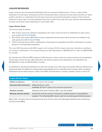# <span id="page-28-0"></span>**LIQUOR REVENUES**

Liquor revenues have two separate distributions that are received at different times. There is a state shared distribution from the liquor revolving account for licensing fees (this is referred to by the state and others as "liquor profits"), and there is a distribution from the liquor excise tax account that represents a portion of the excise tax collected on liquor sales. The total distribution from liquor profits is the same each year, while the total distribution for liquor excise taxes varies depending on actual liquor sales.

#### **Liquor Excise Taxes**

The formula works as follows:

- 1. 35% of liquor excise tax collected is deposited in the "liquor excise tax fund" for distribution to cities, towns, and counties [\(RCW 82.08.160\(](http://app.leg.wa.gov/RCW/default.aspx?cite=82.08.160)1)).
- 2. \$2.5 million each quarter (\$10 million a year) is deducted from the liquor excise tax fund and remitted to the state general fund ([RCW 82.08.170](http://app.leg.wa.gov/RCW/default.aspx?cite=82.08.170)(3)).
- 3. Of the remaining amount, 80% is distributed to cities (based on population) and 20% is distributed to counties (based on unincorporated population).

The June 2021 forecasts by the ERFC project a fair increase (11.3%) in liquor excise tax collections, resulting in an increase in distributions. The revised forecast for 2021 distributions is \$34,652,337 for cities and \$8,015,569 for counties.

For calendar year 2022 the ERFC projects a 5.8% decrease to liquor excise tax revenues that are to be deposited into the liquor excise tax fund. After deductions, the total local government distributions are estimated to be \$32,645,124 for cities and \$7,513,766 for counties.

It's important to note that the distributions to cities and counties occur with a lag of one quarter after the collections are made by the state. This difference in timing makes state estimates and our estimates hard to compare. When comparing distributions by the state treasurer's office to the ERFC forecasts there is usually a variation of plus or minus 2%.

| <b>Liquor Excise Taxes</b>         |                                                                                                                                                               |
|------------------------------------|---------------------------------------------------------------------------------------------------------------------------------------------------------------|
| <b>Eligible jurisdictions</b>      | All cities, towns, and counties                                                                                                                               |
| <b>Estimated 2022 distribution</b> | Cities: \$6.45 per capita<br>Counties: \$2.78 per capita (unincorporated population)                                                                          |
| Payment received                   | Quarterly at the end of January, April, July, and October                                                                                                     |
| Revenue must be used for           | At least 2% must be used for a licensed or certified alcohol or drug addiction<br>program. The remaining 98% may be used for any lawful governmental purpose. |

*Editor's Note: The liquor excise tax forecasts are the work of Lance Carey of the Washington State Economic and Revenue Forecast Council (ERFC).*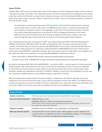#### **Liquor Profits**

Initiative 1183 in 2011 not only privatized liquor sales in Washington, but it also changed the types of liquor revenues collected by the state. The state is now collecting revenue in the form of license fees from distributors and retailers, rather than profits from the state-run liquor stores. However, the Liquor and Cannabis Board (LCB) continues to call these funds "liquor profits." A portion of these collections go to cities, counties, and border jurisdictions. Codified as [RCW 66.24.065](http://app.leg.wa.gov/rcw/default.aspx?cite=66.24.065), it reads:

The distribution of spirits license fees under [RCW 66.24.630](http://app.leg.wa.gov/rcw/default.aspx?cite=66.24.630) and [66.24.055](http://app.leg.wa.gov/rcw/default.aspx?cite=66.24.055) through the liquor revolving fund to border areas, counties, cities, towns, and [MRSC] must be made in a manner that provides that each category of recipients receive, in the aggregate, no less than it received from the liquor revolving fund during comparable periods prior to December 8, 2011. An additional distribution of ten million dollars per year from the spirits license fees must be provided to border areas, counties, cities, and towns through the liquor revolving fund for the purpose of enhancing public safety programs.

The "comparable periods prior to December 8, 2011" were determined by the Office of Financial Management (OFM) to be December 2010, March 2011, July 2011, and September 2011. The liquor profit revenue for cities, counties, and border areas for those four quarters was \$39,438,000. To this amount, LCB adds the \$10 million to enhance public safety programs for a total liquor profits distribution of \$49,438,000 each year. Of that amount, 0.3%, which equals \$148,314, is distributed to border cities and counties based on traffic totals, crime statistics, and per capita law enforcement spending. The remaining \$49,289,686 is distributed as follows:

- Cities receive 80%, or \$39,431,749 annually, distributed proportionately by population.
- Counties receive 20%, or \$9,857,937 annually, distributed proportionately by unincorporated population.

As noted in the statute, \$10 million of the \$49,438,000 – just under 20.23% – must be spent on "enhancing public safety programs." We recommend that each city or county split its distribution so that it can account separately for the portion that must be spent on public safety. To calculate the portion that must be used for public safety purposes, multiply your distribution by 20.23%, or 0.2023. In addition, at least 2% of your distribution must be used for a licensed or certified alcohol or drug addiction program under [RCW 71.24.555](http://app.leg.wa.gov/rcw/default.aspx?cite=71.24.555).

When forecasting liquor profits beyond next year's budget it's important to note that the total city and county distributions will remain the same from year to year unless the legislature amends the statute. The initiative did not include any measures to account for inflation. We have incorporated a per capita ratio value in the rate tables at the end of this chapter and the ratio values will vary slightly each year due to population changes.

| <b>Liquor Profits</b>              |                                                                                                                                                                                                                                   |
|------------------------------------|-----------------------------------------------------------------------------------------------------------------------------------------------------------------------------------------------------------------------------------|
| Eligible jurisdictions             | All cities, towns, and counties that do not prohibit the sale of liquor                                                                                                                                                           |
| <b>Estimated 2022 distribution</b> | Cities: \$7.79 per capita<br><b>Counties: \$3.65 per capita (unincorporated population)</b><br>Border cities and counties get extra distributions based on traffic totals, crime rate, and<br>per capita law enforcement spending |
| Payment received                   | Quarterly at the end of March, June, September, and December                                                                                                                                                                      |
| Revenue must be used for           | At least 20.23% must be used for public safety programs, and an additional 2%<br>must be used for an approved alcohol or drug addiction program. The remaining<br>77.77% may be used for any lawful governmental purpose.         |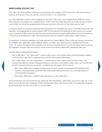### <span id="page-30-0"></span>**MARIJUANA EXCISE TAX**

The state's marijuana taxation collections and distribution are codified in [RCW 69.50.530-.540](https://app.leg.wa.gov/rcw/default.aspx?cite=69.50&full=true#69.50.530) and provide for revenue sharing with cities and counties, but the formula is a bit complicated.

The state distributes a portion of the marijuana excise taxes to the Liquor and Cannabis Board (LCB) and various state agencies and programs on a quarterly basis. At the end of each state fiscal year (June 30), the state treasurer must transfer any remaining unappropriated marijuana excise tax revenues into the state's general fund.

If marijuana excise tax collections deposited into the general fund in the prior fiscal year exceed \$25 million, then the legislature must appropriate an amount equal to 30% of those general fund deposits to cities, towns, and counties, up to a maximum of \$20 million per year. This amount was previously capped at \$15 million per year, but beginning in state fiscal year 2022 (July 1, 2021-June 30, 2022) the cap has increased to \$20 million, a 33% increase.

To summarize: If marijuana deposits to the state general fund exceed \$66.67 million, cities and counties will receive the full \$20 million distribution (30% of \$66.67 million). The ERFC June 2021 Economic and Revenue Forecast, [Table 3.18,](https://erfc.wa.gov/sites/default/files/public/documents/publications/jun21pub.pdf#page=83) projects the general fund deposits to be well above that threshold in current and future years, so barring any legislative changes cities and counties should receive the maximum \$20 million distribution each year.

The \$20 million is distributed as follows:

- 30%, or \$6 million the "retail share" goes to cities, towns, and counties where licensed marijuana retailers are physically located and in proportional share to the total revenues generated.
- 70%, or \$14 million the "per capita share" is distributed on a per capita basis to all cities, towns, and counties that allow the siting of marijuana producers, processors, and retailers. Cities, towns, and counties that prohibit marijuana producers, processors, or retailers are not eligible. Of this amount:
	- \$8.4 million (60%) goes to eligible counties based on each county's total proportional population *(note that this is total population, unlike the other state shared distributions which are calculated based on unincorporated population)*
	- \$5.6 million (40%) goes to eligible cities and towns on a per capita basis.

Some jurisdictions will receive both the per capita and retail distributions, while others may receive only one or the other, and jurisdictions that completely prohibit marijuana businesses will receive neither. For explanation purposes, a few hypothetical scenarios are shown on the next page.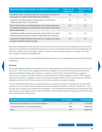| <b>Hypothetical Marijuana Excise Tax Distribution Scenarios</b>                                                                                                    | <b>Eligible for per</b><br>capita share? | <b>Eligible for retail</b><br>share? |
|--------------------------------------------------------------------------------------------------------------------------------------------------------------------|------------------------------------------|--------------------------------------|
| Jurisdiction allows marijuana production, processing, and retail and<br>has at least one retailer located within the jurisdiction.                                 | <b>Yes</b>                               | <b>Yes</b>                           |
| Jurisdiction prohibits marijuana entirely and as a result has no<br>retailers located within the jurisdiction.                                                     | N <sub>o</sub>                           | <b>No</b>                            |
| Town took no action to prohibit marijuana, but is small enough that<br>no marijuana businesses can locate there under state law due to the<br>buffer requirements. | <b>Yes</b>                               | N <sub>o</sub>                       |
| Jurisdiction prohibits marijuana producers and processors but allows<br>retailers and has at least one retailer located within the jurisdiction.                   | No.                                      | Yes                                  |
| Jurisdiction prohibits marijuana retail and has no retailers but allows<br>marijuana production and processing.                                                    | No                                       | <b>No</b>                            |

Each year by September 15, the LCB must provide the state treasurer with the annual distribution amount for each county and city. Payments are distributed four times per year on the last day of each fiscal quarter (September 30, December 31, March 31, and June 30). The State Treasurer's Office distributes both the "per capita" and "retail" shares together using the same BARS code.

The distributions that you receive in September will form the basis for your budget projections for the forthcoming budget year.

#### **Forecast**

We have (tentatively) produced an estimate of the per capita distributions using the information from our [Marijuana](http://mrsc.org/Home/Explore-Topics/Legal/Regulation/Marijuana-Regulation-in-Washington-State.aspx)  [Regulation in Washington State](http://mrsc.org/Home/Explore-Topics/Legal/Regulation/Marijuana-Regulation-in-Washington-State.aspx) webpage and ordinance database, as well as information about previous LCB marijuana distributions. Please note that this is a "big picture, point-in-time" estimate of the local regulatory environment as it exists in July 2021, based on our own marijuana ordinance database as well as LCB's ongoing distributions and lists of "prohibited" entities (see the following tables). While we work hard to keep our marijuana database up-to-date, this is still an evolving area and these numbers are subject to change.

The per capita distributions will be calculated based on the population of cities and counties that do not prohibit marijuana. If a city or county decides to repeal a previously adopted prohibition or removes a moratorium – or, on the other hand, imposes a new moratorium or prohibition – this will impact the distribution rates. According to LCB, any changes in local marijuana policies will be reflected in the per capita distributions beginning with the next state fiscal year (September 30 payment).

| <b>City Marijuana Policies as of July 2021</b>          | <b>Est. Number</b> | <b>Est. Population</b> |
|---------------------------------------------------------|--------------------|------------------------|
| Cities/towns that partially or fully prohibit marijuana | 87                 | 1,316,020              |
| Cities/towns that do not prohibit marijuana             | 194                | 3.748.190              |
| <b>TOTAL</b>                                            | 281                | 5,064,210              |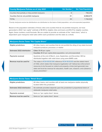| <b>County Marijuana Policies as of July 2021</b>    | <b>Est. Number</b> | <b>Est. Total Population*</b> |
|-----------------------------------------------------|--------------------|-------------------------------|
| Counties that partially or fully prohibit marijuana | 8                  | 798,250                       |
| Counties that do not prohibit marijuana             | 31                 | 6.968.675                     |
| <b>TOTAL</b>                                        | 39                 | 7,766,925                     |

*\*County marijuana excise tax distributions are distributed on the basis of total population, not unincorporated population.*

Based on the population estimates of those cities and counties that do not prohibit marijuana, we have generated a 2022 "per capita" estimate of \$1.49 for eligible cities and towns and \$1.21 for eligible counties. Again, these numbers could fluctuate. We are unable to provide an estimate of the "retail share," which is dependent upon marijuana retail sales within each jurisdiction and the state as a whole.

| <b>Marijuana Excise Taxes "Per Capita Share"</b> |                                                                                                                                                                                                                                                                                                                                                    |
|--------------------------------------------------|----------------------------------------------------------------------------------------------------------------------------------------------------------------------------------------------------------------------------------------------------------------------------------------------------------------------------------------------------|
| Eligible jurisdictions                           | All cities, towns, and counties that do not prohibit the siting of any state-licensed<br>marijuana producer, processor, or retailer                                                                                                                                                                                                                |
| <b>Estimated 2022 distribution</b>               | Cities: \$1.49 per capita<br><b>Counties:</b> \$1.21 per capita (total population, not unincorporated)                                                                                                                                                                                                                                             |
| <b>Payments received</b>                         | Quarterly at the end of March, June, September, and December. Will be<br>distributed together with retail share using same BARS code.                                                                                                                                                                                                              |
| Revenue must be used for                         | The notes in RCW 69.50.540 reference RCW 69.50.101 and the stated intent<br>of I-502, which states that marijuana legalization will "[allow] law enforcement<br>resources to be focused on violent and property crimes [and generate] new<br>state and local tax revenue for education, health care, research, and substance<br>abuse prevention." |

| <b>Marijuana Excise Taxes "Retail Share"</b> |                                                                                                                    |  |
|----------------------------------------------|--------------------------------------------------------------------------------------------------------------------|--|
| <b>Eligible jurisdictions</b>                | All cities, towns, and counties with at least one marijuana retailer physically<br>located within the jurisdiction |  |
| <b>Estimated 2022 distribution</b>           | No estimate provided; depends upon the jurisdiction's proportional share of<br>statewide marijuana retail sales.   |  |
| <b>Payments received</b>                     | Same as "per capita share" above                                                                                   |  |
| Revenue must be used for                     | Same as "per capita share" above                                                                                   |  |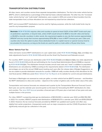# <span id="page-33-0"></span>**TRANSPORTATION DISTRIBUTIONS**

All cities, towns, and counties receive three separate transportation distributions. The first is the motor vehicle fuel tax (MVFT), which is distributed as a percentage of the total fuel taxes collected statewide. The other two, the "increased motor vehicle fuel tax" and "multi-modal" distributions, were created in 2015 and consist of direct transfers from the state transportation fund, so those allocations are not impacted by actual fuel tax collections.

MVFT and increased MVFT distributions must be used for highway purposes, while the multi-modal funds may be used for any transportation purpose.

**Reminder:** [RCW 47.30.050](https://app.leg.wa.gov/rcw/default.aspx?cite=47.30.050) *requires cities and counties to spend at least 0.42% of their MVFT funds each year on pedestrian, equestrian, or bicycle trails, unless 0.42% would amount to \$500 or less (for cities and towns) or \$3,000 or less (for counties). In other words, this requirement applies to any city that receives approximately \$119,047 and any county that receives approximately \$714,286 or more in MVFT revenue per year. Cities and counties also have the option to place these dedicated funds in a capital reserve or special revenue fund to accumulate the resources, so long as the funds are used for paths or trails within a 10-year time frame.*

#### **Motor Vehicle Fuel Tax**

Cities and towns receive MVFT distributions on a per capita basis under [RCW 46.68.090\(](http://app.leg.wa.gov/RCW/default.aspx?cite=46.68.090)2)(g), (4)(a), and (5)(a), less state adjustments found in [RCW 46.68.110](http://app.leg.wa.gov/RCW/default.aspx?cite=46.68.110)(1) and (2) and the Small City Pavement and Sidewalk account.

For counties, MVFT revenues are distributed under [RCW 46.68.090](http://app.leg.wa.gov/RCW/default.aspx?cite=46.68.090)(2)(h) and (4)(b)and (5)(b), less state adjustments found in [RCW 46.68.120\(](http://app.leg.wa.gov/RCW/default.aspx?cite=46.68.120)1) and (3) and withholding for the County Road Administration Board (CRAB) as required by [RCW 46.68.090\(](http://app.leg.wa.gov/RCW/default.aspx?cite=46.68.090)2)(h). The distribution formula includes annual road costs and "need" in addition to population. Distributions are calculated by CRAB according to the requirements stated in [RCW 46.68.120](http://app.leg.wa.gov/rcw/default.aspx?cite=46.68.120)(4). The distribution percentages are set at the annual CRAB board meeting each year after the release date of *Budget Suggestions*, so we are unable to provide distribution amounts for counties. CRAB will notify counties directly of the allocations for the next fiscal period. CRAB also posts [Motor Vehicle Fuel Tax Reports](https://www.crab.wa.gov/programs/revenues) on its website for current and past distributions.

Fuel taxes in Washington are assessed as cents per gallon, so motor vehicle fuel tax (MVFT) revenues – and therefore the MVFT distributions to cities and counties – depend on the number of gallons sold, not the dollar value of the sales.

Transportation and revenue forecasts are released each quarter by the Transportation Revenue Forecast Council. Each year, we use the calendar year second quarter as the basis for forecasting the MVFT distributions for cities and counties. The [June 2021 forecast](https://ofm.wa.gov/budget/budget-instructions/transportation-revenue-information) provides a forecast span of 10 years plus a look back of two years and uses multiple factors in the process.

For cities, WSDOT is projecting total gas tax distributions of \$91,914,993 in calendar year 2022 and \$92,782,358 in 2023. For counties, WSDOT projects total distributions of \$138,931,073 in calendar year 2022 and \$139,239,029 in 2023. However, the tax revenue forecasts provided by WSDOT are updated each quarter and often vary slightly from earlier projections. Unexpected events such as major snowstorms and the COVID-19 pandemic have significantly reduced gas tax collections in the past.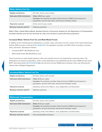| <b>Motor Vehicle Fuel Tax</b>      |                                                                                                                                                                |
|------------------------------------|----------------------------------------------------------------------------------------------------------------------------------------------------------------|
| <b>Eligible jurisdictions</b>      | All cities, towns, and counties                                                                                                                                |
| <b>Estimated 2022 distribution</b> | Cities: \$18.15 per capita<br>Counties: No estimate provided. Determined by CRAB formula based on<br>population, annual road costs, and annual monetary needs. |
| <b>Payments received</b>           | At the end of every month                                                                                                                                      |
| Revenue must be used for           | Highway purposes                                                                                                                                               |

*Editor's Note: Lizbeth Martin-Mahar, Assistant Director of Economic Analysis for the Department of Transportation, provided calendar year fuel tax forecasts for cities and counties to assist with these projections.*

#### **Increased Motor Vehicle Fuel Tax and Multi-Modal Funds**

In addition to the monthly gas tax distributions, counties, cities, and towns receive a share of the multi-modal funds and the 2015 increase in fuel tax ([RCW 46.68.126](https://app.leg.wa.gov/rcw/default.aspx?cite=46.68.126)). This legislation provides over \$25 million annually to counties, cities, and towns, allocated as follows:

- Increased MVFT: \$11,719,000 per year
- Multi-modal funds: \$13,393,000 per year

These revenues are split equally between cities and counties and are not impacted by actual fuel sales. City distributions are based on population, while county distributions are established by the same CRAB formula as the MVFT described earlier [\(RCW 46.68.120](http://app.leg.wa.gov/rcw/default.aspx?cite=46.68.120)(4)) and set at the annual CRAB board meeting in late July, following the release date of *Budget Suggestions*.

#### **Increased Motor Vehicle Fuel Tax**

| Eligible jurisdictions             | All cities, towns, and counties                                                                                                                               |
|------------------------------------|---------------------------------------------------------------------------------------------------------------------------------------------------------------|
| <b>Estimated 2022 distribution</b> | Cities: \$1.16 per capita<br>Counties: No estimate provided. Determined by CRAB formula based on<br>population, annual road costs, and annual monetary needs. |
| <b>Payments received</b>           | Quarterly, at the end of March, June, September, and December                                                                                                 |
| Revenue must be used for           | Highway purposes                                                                                                                                              |

| <b>Multimodal Transportation</b>   |                                                                                                                                                               |  |  |  |  |  |
|------------------------------------|---------------------------------------------------------------------------------------------------------------------------------------------------------------|--|--|--|--|--|
| <b>Eligible jurisdictions</b>      | All cities, towns, and counties                                                                                                                               |  |  |  |  |  |
| <b>Estimated 2022 distribution</b> | Cities: \$1.32 per capita<br>Counties: No estimate provided. Determined by CRAB formula based on<br>population, annual road costs, and annual monetary needs. |  |  |  |  |  |
| <b>Payments received</b>           | Quarterly, at the end of March, June, September, and December                                                                                                 |  |  |  |  |  |
| Revenue must be used for           | Any transportation purposes                                                                                                                                   |  |  |  |  |  |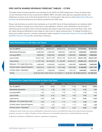# <span id="page-35-0"></span>**PER CAPITA SHARED REVENUE FORECAST TABLES – CITIES**

The tables below include projections and estimates for the 2022 and 2023 budget years. These are based upon current information that we have received from WSDOT, ERFC, and other state agencies, population growth, and inflationary increases such as the fiscal growth factor for criminal justice. Also see our online [State Shared Revenue](http://mrsc.org/Home/Explore-Topics/Finance/Budgets/State-Shared-Revenue-Estimator.aspx)  [Estimator](http://mrsc.org/Home/Explore-Topics/Finance/Budgets/State-Shared-Revenue-Estimator.aspx) for forecasts tailored to your specific jurisdiction (for 2022 only).

Please note that these are point-in-time estimates as of July 2021. Some of these distributions are relatively stable and are not likely to change much unless there is new legislation. However, other distributions may fluctuate. In particular, gas tax and liquor excise revenues depend upon gallons sold at the pump and actual liquor sales, while per capita marijuana distributions may change as cities enact or repeal marijuana bans. To mitigate fluctuations in these more volatile revenues, consider reviewing the state's quarterly [Transportation Revenue Forecast](https://www.ofm.wa.gov/budget/budget-instructions/transportation-revenue-information) (for MVFT) and [ERFC Revenue Forecast](https://erfc.wa.gov/forecasts/revenue-forecast) (for overall liquor revenues).

| <b>Total Distributions to All Cities and Towns</b> |               |               |               |            |                                              |             |
|----------------------------------------------------|---------------|---------------|---------------|------------|----------------------------------------------|-------------|
|                                                    | 2018          | 2019          | 2020          |            | 2021 Revised   2022 Forecast   2023 Forecast |             |
| Gas Tax (MVFT)                                     | 98,222,951    | 94,901,817    | 84,622,419    | 87,160,975 | 91,914,993                                   | 92,782,358  |
| <b>Multi-Modal Distribution</b>                    | 6,696,500     | 6,696,500     | 6,696,500     | 6,696,500  | 6,696,500                                    | 6,696,500   |
| <b>Increased MVFT</b>                              | 5,859,500     | 5,859,500     | 5,859,500     | 5,859,500  | 5,859,500                                    | 5,859,500   |
| <b>Liquor Profits</b>                              | 39,431,749    | 39,431,749    | 39,431,749    | 39,431,749 | 39,431,749                                   | 39,431,749  |
| <b>Liquor Excise</b>                               | 21,187,169    | 26,478,004    | 31,128,298    | 34,652,337 | 32,645,124                                   | 33,018,723  |
| Marijuana - Per Capita Share Only                  | 5,460,000     | 4,200,000     | 4,200,000     | 4,900,000  | 5,600,000                                    | 5,600,000   |
| <b>Criminal Justice-Special Programs</b>           | 5,052,613     | 5,254,718     | 5,521,658     | 5,847,988  | 6,186,586                                    | 6,531,798   |
| Criminal Justice-Population                        | 1,497,071     | 1,556,953     | 1,636,047     | 1,732,737  | 1,833,063                                    | 1,935,347   |
| <b>TOTAL</b>                                       | \$183,407,553 | \$184,379,241 | \$179,096,171 |            | \$186,281,786 \$190,167,514                  | 191,855,975 |

| <b>Estimated Per Capita Distributions for Each City/Town</b> |       |       |       |       |                                              |       |
|--------------------------------------------------------------|-------|-------|-------|-------|----------------------------------------------|-------|
|                                                              | 2018  | 2019  | 2020  |       | 2021 Revised   2022 Forecast   2023 Forecast |       |
| Gas Tax (MVFT)                                               | 20.67 | 19.62 | 17.23 | 17.46 | 18.15                                        | 18.05 |
| <b>Multi-Modal Distribution</b>                              | 1.41  | 1.39  | 1.36  | 1.34  | 1.32                                         | 1.30  |
| <b>Increased MVFT</b>                                        | 1.23  | 1.21  | 1.19  | 1.17  | 1.16                                         | 1.14  |
| <b>Liquor Profits</b>                                        | 8.30  | 8.15  | 8.03  | 7.90  | 7.79                                         | 7.67  |
| Liquor Excise                                                | 4.46  | 5.48  | 6.34  | 6.94  | 6.45                                         | 6.42  |
| Marijuana - Per Capita Share Only <sup>1</sup>               | 1.53  | 1.16  | 1.14  | 1.34  | 1.49                                         | 1.47  |
| Criminal Justice-Special Programs                            | 1.07  | 1.07  | 1.12  | 1.17  | 1.24                                         | 1.29  |
| Criminal Justice-Population <sup>2</sup>                     | 0.32  | 0.30  | 0.31  | 0.33  | 0.35                                         | 0.37  |

*1. Marijuana excise funds may only be distributed to cities/towns that do not prohibit the siting of any state licensed marijuana producer, processor, or retailer. Changes to local ordinances can potentially impact the per capita distribution amounts.*

*2. Minimum distribution of \$1,000 per city/town, regardless of population.*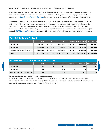# <span id="page-36-0"></span>**PER CAPITA SHARED REVENUE FORECAST TABLES – COUNTIES**

The tables below include projections and estimates for the 2022 and 2023 budget years. These are based upon current information that we have received from ERFC and other state agencies, as well as population growth. Also see our online [State Shared Revenue Estimator](http://mrsc.org/Home/Explore-Topics/Finance/Budgets/State-Shared-Revenue-Estimator.aspx) for forecasts tailored to your specific jurisdiction (for 2022 only).

Please note that these are point-in-time estimates as of July 2021. Some of these distributions are relatively stable and are not likely to change much unless there is new legislation. However, other distributions may fluctuate. In particular, liquor excise revenues depend upon actual liquor sales, while per capita marijuana distributions may change as counties enact or repeal marijuana bans. To mitigate fluctuations in liquor revenues, consider reviewing the quarterly [ERFC Revenue Forecast](https://erfc.wa.gov/forecasts/revenue-forecast), which can provide an indicator of overall liquor revenue increases or decreases.

| <b>Total Distributions to All Counties</b> |              |              |              |              |                                          |              |
|--------------------------------------------|--------------|--------------|--------------|--------------|------------------------------------------|--------------|
|                                            | 2018         | 2019         | 2020         |              | 2021 Revised 2022 Forecast 2023 Forecast |              |
| Liguor Profits                             | 9,857,937    | 9.857.937    | 9,857,937    | 9.857.937    | 9,857,937                                | 9,857,937    |
| Liquor Excise                              | 5,523,993    | 6.024.018    | 7,134,559    | 8.015.569    | 7,513,766                                | 7,607,166    |
| Marijuana - Per Capita Share Only          | 8,190,000    | 6.300.000    | 6,300,000    | 7.350.000    | 8,400,000                                | 8,400,000    |
| <b>TOTAL</b>                               | \$23,571,930 | \$22,181,955 | \$23,292,496 | \$25,223,506 | \$25,771,703                             | \$25,865,103 |

| <b>Estimated Per Capita Distributions for Each County</b> |      |      |      |      |      |                                          |
|-----------------------------------------------------------|------|------|------|------|------|------------------------------------------|
|                                                           | 2018 | 2019 | 2020 |      |      | 2021 Revised 2022 Forecast 2023 Forecast |
| Liquor Profits <sup>1</sup>                               | 3.85 | 3.80 | 3.74 | 3.70 | 3.65 | 3.61                                     |
| Liquor Excise <sup>1</sup>                                | 1.89 | 2.32 | 2.71 | 3.01 | 2.78 | 2.79                                     |
| Marijuana - Per Capita Share Only <sup>2</sup>            | 1.32 | 1.02 | 0.97 | 1.13 | 1.21 | 1.19                                     |

*1. Liquor distributions are based on unincorporated population.*

*2. Marijuana distributions are based on "total proportional" population, including incorporated areas. Funds may only be distributed to counties that do not prohibit the siting of any state licensed marijuana producer, processor, or retailer. Changes to local ordinances can potentially impact the per capita distribution amounts.*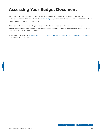# <span id="page-37-0"></span>**Assessing Your Budget Document**

We conclude *Budget Suggestions* with this two-page budget assessment scorecard on the following pages. This tool may also be found on our website at [mrsc.org/budgeting,](http://mrsc.org/budgeting) and we hope that you decide to take this first step to a more comprehensive budget document.

This scorecard is intended to help you evaluate and make small steps over the course of several years to improve the content of your comprehensive budget document, with the goal of providing your reader with a more transparent and easily understood budget.

In addition, the GFOA has a [Distinguished Budget Presentation Award Program \(Budget Awards Program\)](https://www.gfoa.org/budget-award) that goes into much further detail.

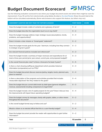# <span id="page-38-0"></span>**Budget Document Scorecard**



Use the following evaluation scorecard to see where your budget document excels and where there might be room for improvement. If you fill out this form electronically using Adobe Acrobat or [Acrobat Reader](https://get.adobe.com/reader/) (free), the point total at the bottom will be calculated automatically. *(Some web browsers also support this feature, but others may not.)*

| <b>ASSESSMENT QUESTION (SEE NEXT PAGE FOR FURTHER GUIDANCE)</b>                                                                                                  | <b>POINT RANGE</b> | <b>SCORE</b>     |
|------------------------------------------------------------------------------------------------------------------------------------------------------------------|--------------------|------------------|
| Does the budget include a table of contents and a glossary of terms?                                                                                             | $0 - 2$            |                  |
| Does the budget describe the organization (such as an org chart)?                                                                                                | $0 - 2$            |                  |
| Does the budget message address major strategic issues (assumptions, trends,<br>problems, and opportunities)?                                                    | $0 - 4$            |                  |
| Does it include a clear mission or "broad goals" statement?                                                                                                      | $0 - 2$            |                  |
| Does the budget include goals for the year / biennium, including how they connect<br>to strategic long-term goals?                                               | $0 - 3$            |                  |
| Are relevant financial policies included and referenced?                                                                                                         | $0 - 3$            |                  |
| Does the budget include a summary of major revenues and expenditures for at<br>least a three-year period (prior year actual, current year, and proposed budget)? | $0 - 3$            |                  |
| Is the overall financial plan clear? Is there a forecast of at least 3 years?                                                                                    | $0 - 5$            |                  |
| Is there a chart showing staffing by department which provides historical<br>information (comparative) such as FTEs?                                             | $0 - 4$            |                  |
| Does the budget document discuss reserves (policy, targets, levels, planned uses,<br>plans to restore)?                                                          | $0 - 4$            |                  |
| Is there a description of the programs and activities provided that includes<br>measurable objectives? Are they related to the goals?                            | $0 - 4$            |                  |
| Does the budget discuss current debt levels by debt types (general obligation,<br>revenue, assessment) including comparisons to legal limits?                    | $0 - 3$            |                  |
| Does the budget include a list of capital projects for the year? Does it discuss how<br>the improvements will impact future operating budgets?                   | $0 - 4$            |                  |
| Does the budget convey its messages clearly with graphs, tables, or other means<br>throughout the document?                                                      | $0 - 2$            |                  |
| Is the overall budget format easy to follow and use?                                                                                                             | $0 - 2$            |                  |
| Would a citizen or an elected official feel this is a user-friendly budget?                                                                                      | $0 - 4$            |                  |
| Does the budget document provide the reader with opportunities to gain further<br>information?                                                                   | $0 - 2$            |                  |
| <b>Total</b>                                                                                                                                                     | 53 possible        | $\boldsymbol{0}$ |

◀ Last Page Viewed  $\blacksquare$  I Table of Contents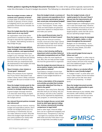**Further guidance regarding the Budget Document Scorecard:** The order of the questions typically represents the order this information is found in budget documents. The following is a description of the ideals for each section.

#### **Does the budget include a table of contents and a glossary of terms?**

A simple table of contents should be included. A glossary of terms unique to budgeting and to your particular organization should also be included. An index is a bonus.

#### **Does the budget describe the organization (such as an org chart)?**

An organization chart of the entire government is needed but often not enough to describe the organization to an "outsider." Add defining narrative to help bridge the gap.

#### **Does the budget message address major strategic issues (assumptions, trends, problems, and opportunities)?**

The most important element of your budget is your message. Here you can incorporate other elements (see below) but should be sure to tell your story. Describe what you emphasized (and de-emphasized) in this budget and why! Talk about more than numbers.

#### **Does it include a clear mission or "broad goals" statement?**

What is the purpose of your organization? If you haven't discussed it and written it down, there is likely confusion on that point. Be sure to include it in the budget!

#### **Does the budget include goals for the year / biennium, including how they connect to strategic long-term goals?**

A great budget message element is to describe what things of significance you hope to accomplish during the budget period.

#### **Are relevant financial policies included and referenced?**

At a minimum discuss reserve, revenue, budget and expenditure policies. Don't include non-budget policies (such as purchasing or investments), but you can make reference to them. Describe where this budget might deviate from your policy guidance (or clearly state that it is consistent with policy).

#### **Does the budget include a summary of major revenues and expenditures for at least a three-year period (prior year actual, current year, and proposed budget)?**

Include fund balances as well. This is your "financial plan." Fewer, simple charts are best! Graphs are great but need some captions to interpret them – and make your points.

#### **Is the overall financial plan clear? Is there a forecast of at least 3 years?**

Along with the financial summary, include a forecast of the major operating funds. Keep to high-level account descriptions (avoid too much detail). Summarize into thousands.

#### **Is there a chart showing staffing by department which provides historical information (comparative) such as FTEs?**

Staffing is often the most significant cost. Also, this can help provide insight into how the government is organized.

#### **Does the budget document discuss reserves (policy, targets, levels, planned uses, plans to restore)?**

Fund balance changes of more than 10% should be explained. Uses of fund balance in your budget should be explained as well.

#### **Is there a description of the programs and activities provided that includes measurable objectives? Are they related to the goals?**

"Narratives" take many forms. Basically describe what you are doing, why you are doing it, and who is the customer. This can be organized by department, fund, program, or community priority.

#### **Does the budget discuss current debt levels by debt types (general obligation, revenue, assessment) including comparisons to legal limits?**

Debt or other legal / financial obligations can be a significant budgetary and financial issue. Transparency is the key – but again at a summary level. What debt exists and why? How does it compare to legal limits and ability to pay?

#### **Does the budget include a list of capital projects for the year? Does it discuss how the improvements will impact future operating budgets?**

Capital budgets are challenging to present in clear and simple ways. However a few schedules of sources and uses of funds, along with descriptions of your largest projects, works well. Be sure to discuss operating budget impacts.

#### **Does the budget convey its messages clearly with graphs, tables, or other means throughout the document?**

Budgets can be intimidating – try to avoid jargon, long-running paragraphs of text, too many details, and other potential distractions.

#### **Is the overall budget format easy to follow and use?**

Consider a "highlights" or other ways to convey the most important points. Most casual readers will look at the message and a few additional pages. Use this limited attention well!

#### **Would a citizen or an elected official feel this is a user-friendly budget?**

 A "budget in brief" or some other summary is often helpful. Put the hot-button issues right up front. Be clear about what you are proposing – in simple terms.

#### **Does the budget document provide the reader with opportunities to gain further information?**

Provide references to your website, other documents, staff contacts, and other ways that someone can find out more about the budget or a related topic.



◀ Last Page Viewed Fable of Contents